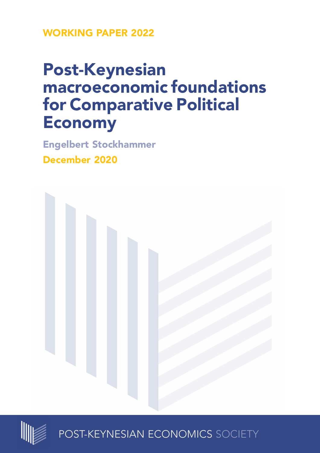**WORKING PAPER 2022**

# **Post-Keynesian macroeconomic foundations for Comparative Political Economy**

**Engelbert Stockhammer December 2020**





POST-KEYNESIAN ECONOMICS SOCIETY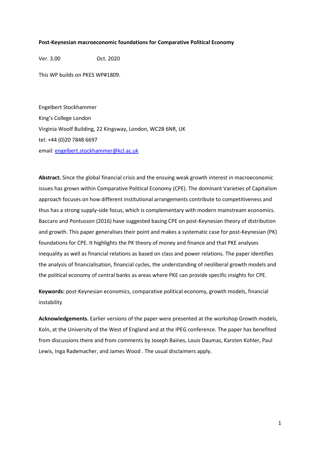#### **Post-Keynesian macroeconomic foundations for Comparative Political Economy**

Ver. 3.00 Oct. 2020

This WP builds on PKES WP#1809.

Engelbert Stockhammer King's College London Virginia Woolf Building, 22 Kingsway, London, WC2B 6NR, UK tel: +44 (0)20 7848 6697 email: [engelbert.stockhammer@kcl.ac.uk](mailto:engelbert.stockhammer@kcl.ac.uk)

**Abstract.** Since the global financial crisis and the ensuing weak growth interest in macroeconomic issues has grown within Comparative Political Economy (CPE). The dominant Varieties of Capitalism approach focuses on how different institutional arrangements contribute to competitiveness and thus has a strong supply-side focus, which is complementary with modern mainstream economics. Baccaro and Pontusson (2016) have suggested basing CPE on post-Keynesian theory of distribution and growth. This paper generalises their point and makes a systematic case for post-Keynesian (PK) foundations for CPE. It highlights the PK theory of money and finance and that PKE analyses inequality as well as financial relations as based on class and power relations. The paper identifies the analysis of financialisation, financial cycles, the understanding of neoliberal growth models and the political economy of central banks as areas where PKE can provide specific insights for CPE.

**Keywords:** post-Keynesian economics, comparative political economy, growth models, financial instability

**Acknowledgements.** Earlier versions of the paper were presented at the workshop Growth models, Koln, at the University of the West of England and at the IPEG conference. The paper has benefited from discussions there and from comments by Joseph Baines, Louis Daumas, Karsten Kohler, Paul Lewis, Inga Rademacher, and James Wood . The usual disclaimers apply.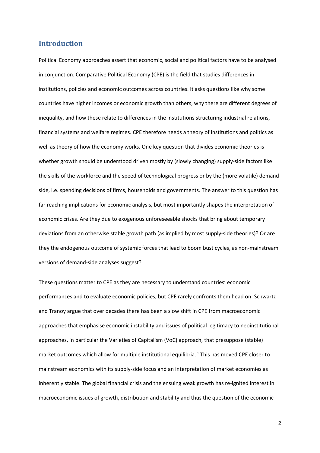# **Introduction**

Political Economy approaches assert that economic, social and political factors have to be analysed in conjunction. Comparative Political Economy (CPE) is the field that studies differences in institutions, policies and economic outcomes across countries. It asks questions like why some countries have higher incomes or economic growth than others, why there are different degrees of inequality, and how these relate to differences in the institutions structuring industrial relations, financial systems and welfare regimes. CPE therefore needs a theory of institutions and politics as well as theory of how the economy works. One key question that divides economic theories is whether growth should be understood driven mostly by (slowly changing) supply-side factors like the skills of the workforce and the speed of technological progress or by the (more volatile) demand side, i.e. spending decisions of firms, households and governments. The answer to this question has far reaching implications for economic analysis, but most importantly shapes the interpretation of economic crises. Are they due to exogenous unforeseeable shocks that bring about temporary deviations from an otherwise stable growth path (as implied by most supply-side theories)? Or are they the endogenous outcome of systemic forces that lead to boom bust cycles, as non-mainstream versions of demand-side analyses suggest?

These questions matter to CPE as they are necessary to understand countries' economic performances and to evaluate economic policies, but CPE rarely confronts them head on. Schwartz and Tranoy argue that over decades there has been a slow shift in CPE from macroeconomic approaches that emphasise economic instability and issues of political legitimacy to neoinstitutional approaches, in particular the Varieties of Capitalism (VoC) approach, that presuppose (stable) market outcomes which allow for multiple institutional equilibria. <sup>1</sup> This has moved CPE closer to mainstream economics with its supply-side focus and an interpretation of market economies as inherently stable. The global financial crisis and the ensuing weak growth has re-ignited interest in macroeconomic issues of growth, distribution and stability and thus the question of the economic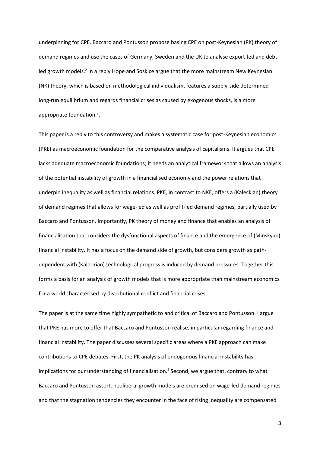underpinning for CPE. Baccaro and Pontusson propose basing CPE on post-Keynesian (PK) theory of demand regimes and use the cases of Germany, Sweden and the UK to analyse export-led and debtled growth models.<sup>2</sup> In a reply Hope and Soskice argue that the more mainstream New Keynesian (NK) theory, which is based on methodological individualism, features a supply-side determined long-run equilibrium and regards financial crises as caused by exogenous shocks, is a more appropriate foundation.<sup>3</sup>.

This paper is a reply to this controversy and makes a systematic case for post-Keynesian economics (PKE) as macroeconomic foundation for the comparative analysis of capitalisms. It argues that CPE lacks adequate macroeconomic foundations; it needs an analytical framework that allows an analysis of the potential instability of growth in a financialised economy and the power relations that underpin inequality as well as financial relations. PKE, in contrast to NKE, offers a (Kaleckian) theory of demand regimes that allows for wage-led as well as profit-led demand regimes, partially used by Baccaro and Pontusson. Importantly, PK theory of money and finance that enables an analysis of financialisation that considers the dysfunctional aspects of finance and the emergence of (Minskyan) financial instability. It has a focus on the demand side of growth, but considers growth as pathdependent with (Kaldorian) technological progress is induced by demand pressures. Together this forms a basis for an analysis of growth models that is more appropriate than mainstream economics for a world characterised by distributional conflict and financial crises.

The paper is at the same time highly sympathetic to and critical of Baccaro and Pontusson. I argue that PKE has more to offer that Baccaro and Pontusson realise, in particular regarding finance and financial instability. The paper discusses several specific areas where a PKE approach can make contributions to CPE debates. First, the PK analysis of endogenous financial instability has implications for our understanding of financialisation. 4 Second, we argue that, contrary to what Baccaro and Pontusson assert, neoliberal growth models are premised on wage-led demand regimes and that the stagnation tendencies they encounter in the face of rising inequality are compensated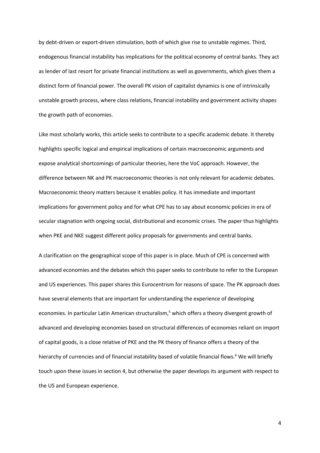by debt-driven or export-driven stimulation, both of which give rise to unstable regimes. Third, endogenous financial instability has implications for the political economy of central banks. They act as lender of last resort for private financial institutions as well as governments, which gives them a distinct form of financial power. The overall PK vision of capitalist dynamics is one of intrinsically unstable growth process, where class relations, financial instability and government activity shapes the growth path of economies.

Like most scholarly works, this article seeks to contribute to a specific academic debate. It thereby highlights specific logical and empirical implications of certain macroeconomic arguments and expose analytical shortcomings of particular theories, here the VoC approach. However, the difference between NK and PK macroeconomic theories is not only relevant for academic debates. Macroeconomic theory matters because it enables policy. It has immediate and important implications for government policy and for what CPE has to say about economic policies in era of secular stagnation with ongoing social, distributional and economic crises. The paper thus highlights when PKE and NKE suggest different policy proposals for governments and central banks.

A clarification on the geographical scope of this paper is in place. Much of CPE is concerned with advanced economies and the debates which this paper seeks to contribute to refer to the European and US experiences. This paper shares this Eurocentrism for reasons of space. The PK approach does have several elements that are important for understanding the experience of developing economies. In particular Latin American structuralism,<sup>5</sup> which offers a theory divergent growth of advanced and developing economies based on structural differences of economies reliant on import of capital goods, is a close relative of PKE and the PK theory of finance offers a theory of the hierarchy of currencies and of financial instability based of volatile financial flows.<sup>6</sup> We will briefly touch upon these issues in section 4, but otherwise the paper develops its argument with respect to the US and European experience.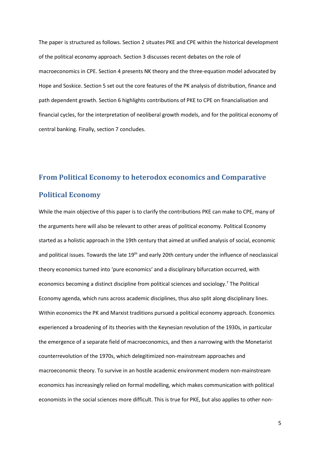The paper is structured as follows. Section 2 situates PKE and CPE within the historical development of the political economy approach. Section 3 discusses recent debates on the role of macroeconomics in CPE. Section 4 presents NK theory and the three-equation model advocated by Hope and Soskice. Section 5 set out the core features of the PK analysis of distribution, finance and path dependent growth. Section 6 highlights contributions of PKE to CPE on financialisation and financial cycles, for the interpretation of neoliberal growth models, and for the political economy of central banking. Finally, section 7 concludes.

# **From Political Economy to heterodox economics and Comparative Political Economy**

While the main objective of this paper is to clarify the contributions PKE can make to CPE, many of the arguments here will also be relevant to other areas of political economy. Political Economy started as a holistic approach in the 19th century that aimed at unified analysis of social, economic and political issues. Towards the late 19<sup>th</sup> and early 20th century under the influence of neoclassical theory economics turned into 'pure economics' and a disciplinary bifurcation occurred, with economics becoming a distinct discipline from political sciences and sociology.<sup>7</sup> The Political Economy agenda, which runs across academic disciplines, thus also split along disciplinary lines. Within economics the PK and Marxist traditions pursued a political economy approach. Economics experienced a broadening of its theories with the Keynesian revolution of the 1930s, in particular the emergence of a separate field of macroeconomics, and then a narrowing with the Monetarist counterrevolution of the 1970s, which delegitimized non-mainstream approaches and macroeconomic theory. To survive in an hostile academic environment modern non-mainstream economics has increasingly relied on formal modelling, which makes communication with political economists in the social sciences more difficult. This is true for PKE, but also applies to other non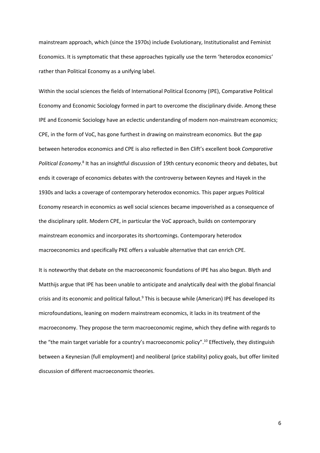mainstream approach, which (since the 1970s) include Evolutionary, Institutionalist and Feminist Economics. It is symptomatic that these approaches typically use the term 'heterodox economics' rather than Political Economy as a unifying label.

Within the social sciences the fields of International Political Economy (IPE), Comparative Political Economy and Economic Sociology formed in part to overcome the disciplinary divide. Among these IPE and Economic Sociology have an eclectic understanding of modern non-mainstream economics; CPE, in the form of VoC, has gone furthest in drawing on mainstream economics. But the gap between heterodox economics and CPE is also reflected in Ben Clift's excellent book *Comparative*  Political Economy.<sup>8</sup> It has an insightful discussion of 19th century economic theory and debates, but ends it coverage of economics debates with the controversy between Keynes and Hayek in the 1930s and lacks a coverage of contemporary heterodox economics. This paper argues Political Economy research in economics as well social sciences became impoverished as a consequence of the disciplinary split. Modern CPE, in particular the VoC approach, builds on contemporary mainstream economics and incorporates its shortcomings. Contemporary heterodox macroeconomics and specifically PKE offers a valuable alternative that can enrich CPE.

It is noteworthy that debate on the macroeconomic foundations of IPE has also begun. Blyth and Matthijs argue that IPE has been unable to anticipate and analytically deal with the global financial crisis and its economic and political fallout.<sup>9</sup> This is because while (American) IPE has developed its microfoundations, leaning on modern mainstream economics, it lacks in its treatment of the macroeconomy. They propose the term macroeconomic regime, which they define with regards to the "the main target variable for a country's macroeconomic policy".<sup>10</sup> Effectively, they distinguish between a Keynesian (full employment) and neoliberal (price stability) policy goals, but offer limited discussion of different macroeconomic theories.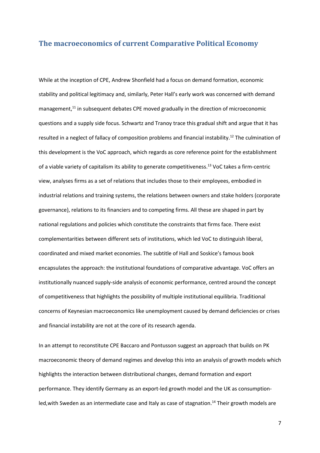### **The macroeconomics of current Comparative Political Economy**

While at the inception of CPE, Andrew Shonfield had a focus on demand formation, economic stability and political legitimacy and, similarly, Peter Hall's early work was concerned with demand management,<sup>11</sup> in subsequent debates CPE moved gradually in the direction of microeconomic questions and a supply side focus. Schwartz and Tranoy trace this gradual shift and argue that it has resulted in a neglect of fallacy of composition problems and financial instability.<sup>12</sup> The culmination of this development is the VoC approach, which regards as core reference point for the establishment of a viable variety of capitalism its ability to generate competitiveness.<sup>13</sup> VoC takes a firm-centric view, analyses firms as a set of relations that includes those to their employees, embodied in industrial relations and training systems, the relations between owners and stake holders (corporate governance), relations to its financiers and to competing firms. All these are shaped in part by national regulations and policies which constitute the constraints that firms face. There exist complementarities between different sets of institutions, which led VoC to distinguish liberal, coordinated and mixed market economies. The subtitle of Hall and Soskice's famous book encapsulates the approach: the institutional foundations of comparative advantage. VoC offers an institutionally nuanced supply-side analysis of economic performance, centred around the concept of competitiveness that highlights the possibility of multiple institutional equilibria. Traditional concerns of Keynesian macroeconomics like unemployment caused by demand deficiencies or crises and financial instability are not at the core of its research agenda.

In an attempt to reconstitute CPE Baccaro and Pontusson suggest an approach that builds on PK macroeconomic theory of demand regimes and develop this into an analysis of growth models which highlights the interaction between distributional changes, demand formation and export performance. They identify Germany as an export-led growth model and the UK as consumptionled, with Sweden as an intermediate case and Italy as case of stagnation.<sup>14</sup> Their growth models are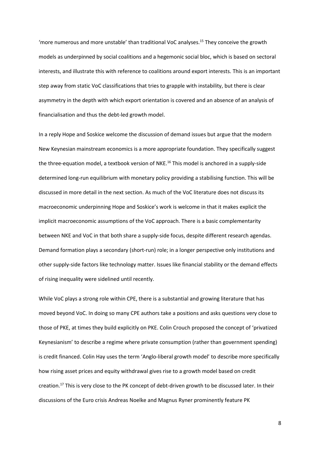'more numerous and more unstable' than traditional VoC analyses.<sup>15</sup> They conceive the growth models as underpinned by social coalitions and a hegemonic social bloc, which is based on sectoral interests, and illustrate this with reference to coalitions around export interests. This is an important step away from static VoC classifications that tries to grapple with instability, but there is clear asymmetry in the depth with which export orientation is covered and an absence of an analysis of financialisation and thus the debt-led growth model.

In a reply Hope and Soskice welcome the discussion of demand issues but argue that the modern New Keynesian mainstream economics is a more appropriate foundation. They specifically suggest the three-equation model, a textbook version of NKE.<sup>16</sup> This model is anchored in a supply-side determined long-run equilibrium with monetary policy providing a stabilising function. This will be discussed in more detail in the next section. As much of the VoC literature does not discuss its macroeconomic underpinning Hope and Soskice's work is welcome in that it makes explicit the implicit macroeconomic assumptions of the VoC approach. There is a basic complementarity between NKE and VoC in that both share a supply-side focus, despite different research agendas. Demand formation plays a secondary (short-run) role; in a longer perspective only institutions and other supply-side factors like technology matter. Issues like financial stability or the demand effects of rising inequality were sidelined until recently.

While VoC plays a strong role within CPE, there is a substantial and growing literature that has moved beyond VoC. In doing so many CPE authors take a positions and asks questions very close to those of PKE, at times they build explicitly on PKE. Colin Crouch proposed the concept of 'privatized Keynesianism' to describe a regime where private consumption (rather than government spending) is credit financed. Colin Hay uses the term 'Anglo-liberal growth model' to describe more specifically how rising asset prices and equity withdrawal gives rise to a growth model based on credit creation.<sup>17</sup> This is very close to the PK concept of debt-driven growth to be discussed later. In their discussions of the Euro crisis Andreas Noelke and Magnus Ryner prominently feature PK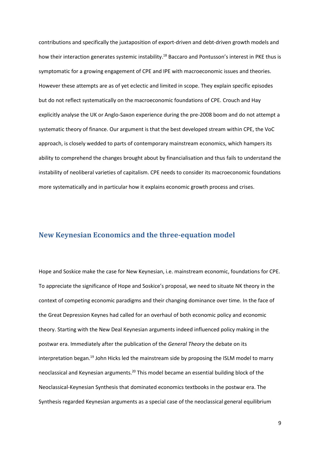contributions and specifically the juxtaposition of export-driven and debt-driven growth models and how their interaction generates systemic instability.<sup>18</sup> Baccaro and Pontusson's interest in PKE thus is symptomatic for a growing engagement of CPE and IPE with macroeconomic issues and theories. However these attempts are as of yet eclectic and limited in scope. They explain specific episodes but do not reflect systematically on the macroeconomic foundations of CPE. Crouch and Hay explicitly analyse the UK or Anglo-Saxon experience during the pre-2008 boom and do not attempt a systematic theory of finance. Our argument is that the best developed stream within CPE, the VoC approach, is closely wedded to parts of contemporary mainstream economics, which hampers its ability to comprehend the changes brought about by financialisation and thus fails to understand the instability of neoliberal varieties of capitalism. CPE needs to consider its macroeconomic foundations more systematically and in particular how it explains economic growth process and crises.

# **New Keynesian Economics and the three-equation model**

Hope and Soskice make the case for New Keynesian, i.e. mainstream economic, foundations for CPE. To appreciate the significance of Hope and Soskice's proposal, we need to situate NK theory in the context of competing economic paradigms and their changing dominance over time. In the face of the Great Depression Keynes had called for an overhaul of both economic policy and economic theory. Starting with the New Deal Keynesian arguments indeed influenced policy making in the postwar era. Immediately after the publication of the *General Theory* the debate on its interpretation began.<sup>19</sup> John Hicks led the mainstream side by proposing the ISLM model to marry neoclassical and Keynesian arguments.<sup>20</sup> This model became an essential building block of the Neoclassical-Keynesian Synthesis that dominated economics textbooks in the postwar era. The Synthesis regarded Keynesian arguments as a special case of the neoclassical general equilibrium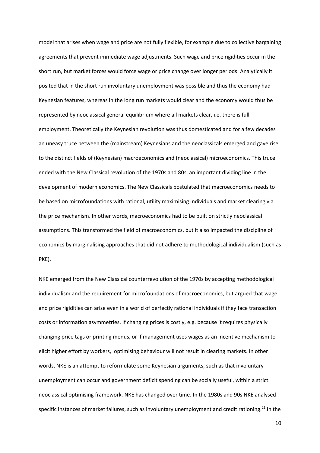model that arises when wage and price are not fully flexible, for example due to collective bargaining agreements that prevent immediate wage adjustments. Such wage and price rigidities occur in the short run, but market forces would force wage or price change over longer periods. Analytically it posited that in the short run involuntary unemployment was possible and thus the economy had Keynesian features, whereas in the long run markets would clear and the economy would thus be represented by neoclassical general equilibrium where all markets clear, i.e. there is full employment. Theoretically the Keynesian revolution was thus domesticated and for a few decades an uneasy truce between the (mainstream) Keynesians and the neoclassicals emerged and gave rise to the distinct fields of (Keynesian) macroeconomics and (neoclassical) microeconomics. This truce ended with the New Classical revolution of the 1970s and 80s, an important dividing line in the development of modern economics. The New Classicals postulated that macroeconomics needs to be based on microfoundations with rational, utility maximising individuals and market clearing via the price mechanism. In other words, macroeconomics had to be built on strictly neoclassical assumptions. This transformed the field of macroeconomics, but it also impacted the discipline of economics by marginalising approaches that did not adhere to methodological individualism (such as PKE).

NKE emerged from the New Classical counterrevolution of the 1970s by accepting methodological individualism and the requirement for microfoundations of macroeconomics, but argued that wage and price rigidities can arise even in a world of perfectly rational individuals if they face transaction costs or information asymmetries. If changing prices is costly, e.g. because it requires physically changing price tags or printing menus, or if management uses wages as an incentive mechanism to elicit higher effort by workers, optimising behaviour will not result in clearing markets. In other words, NKE is an attempt to reformulate some Keynesian arguments, such as that involuntary unemployment can occur and government deficit spending can be socially useful, within a strict neoclassical optimising framework. NKE has changed over time. In the 1980s and 90s NKE analysed specific instances of market failures, such as involuntary unemployment and credit rationing.<sup>21</sup> In the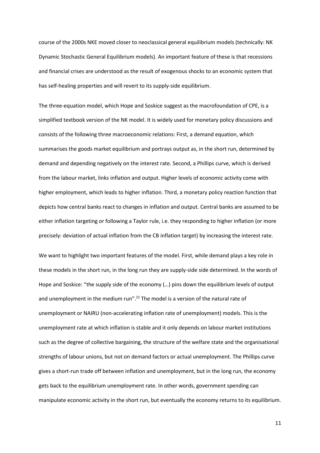course of the 2000s NKE moved closer to neoclassical general equilibrium models (technically: NK Dynamic Stochastic General Equilibrium models). An important feature of these is that recessions and financial crises are understood as the result of exogenous shocks to an economic system that has self-healing properties and will revert to its supply-side equilibrium.

The three-equation model, which Hope and Soskice suggest as the macrofoundation of CPE, is a simplified textbook version of the NK model. It is widely used for monetary policy discussions and consists of the following three macroeconomic relations: First, a demand equation, which summarises the goods market equilibrium and portrays output as, in the short run, determined by demand and depending negatively on the interest rate. Second, a Phillips curve, which is derived from the labour market, links inflation and output. Higher levels of economic activity come with higher employment, which leads to higher inflation. Third, a monetary policy reaction function that depicts how central banks react to changes in inflation and output. Central banks are assumed to be either inflation targeting or following a Taylor rule, i.e. they responding to higher inflation (or more precisely: deviation of actual inflation from the CB inflation target) by increasing the interest rate.

We want to highlight two important features of the model. First, while demand plays a key role in these models in the short run, in the long run they are supply-side side determined. In the words of Hope and Soskice: "the supply side of the economy (…) pins down the equilibrium levels of output and unemployment in the medium run".<sup>22</sup> The model is a version of the natural rate of unemployment or NAIRU (non-accelerating inflation rate of unemployment) models. This is the unemployment rate at which inflation is stable and it only depends on labour market institutions such as the degree of collective bargaining, the structure of the welfare state and the organisational strengths of labour unions, but not on demand factors or actual unemployment. The Phillips curve gives a short-run trade off between inflation and unemployment, but in the long run, the economy gets back to the equilibrium unemployment rate. In other words, government spending can manipulate economic activity in the short run, but eventually the economy returns to its equilibrium.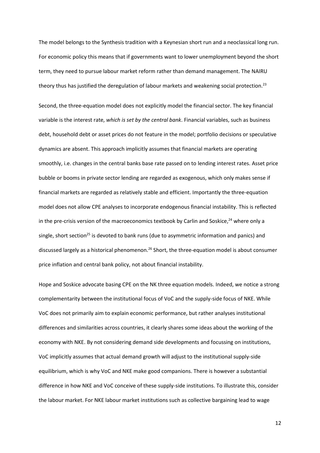The model belongs to the Synthesis tradition with a Keynesian short run and a neoclassical long run. For economic policy this means that if governments want to lower unemployment beyond the short term, they need to pursue labour market reform rather than demand management. The NAIRU theory thus has justified the deregulation of labour markets and weakening social protection.<sup>23</sup>

Second, the three-equation model does not explicitly model the financial sector. The key financial variable is the interest rate, *which is set by the central bank*. Financial variables, such as business debt, household debt or asset prices do not feature in the model; portfolio decisions or speculative dynamics are absent. This approach implicitly assumes that financial markets are operating smoothly, i.e. changes in the central banks base rate passed on to lending interest rates. Asset price bubble or booms in private sector lending are regarded as exogenous, which only makes sense if financial markets are regarded as relatively stable and efficient. Importantly the three-equation model does not allow CPE analyses to incorporate endogenous financial instability. This is reflected in the pre-crisis version of the macroeconomics textbook by Carlin and Soskice, $24$  where only a single, short section<sup>25</sup> is devoted to bank runs (due to asymmetric information and panics) and discussed largely as a historical phenomenon.<sup>26</sup> Short, the three-equation model is about consumer price inflation and central bank policy, not about financial instability.

Hope and Soskice advocate basing CPE on the NK three equation models. Indeed, we notice a strong complementarity between the institutional focus of VoC and the supply-side focus of NKE. While VoC does not primarily aim to explain economic performance, but rather analyses institutional differences and similarities across countries, it clearly shares some ideas about the working of the economy with NKE. By not considering demand side developments and focussing on institutions, VoC implicitly assumes that actual demand growth will adjust to the institutional supply-side equilibrium, which is why VoC and NKE make good companions. There is however a substantial difference in how NKE and VoC conceive of these supply-side institutions. To illustrate this, consider the labour market. For NKE labour market institutions such as collective bargaining lead to wage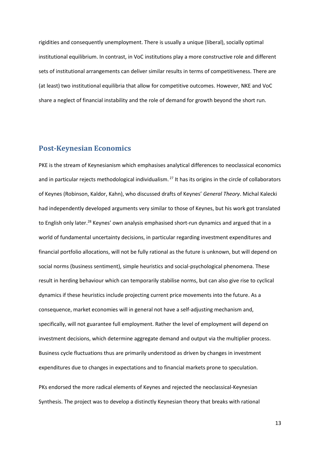rigidities and consequently unemployment. There is usually a unique (liberal), socially optimal institutional equilibrium. In contrast, in VoC institutions play a more constructive role and different sets of institutional arrangements can deliver similar results in terms of competitiveness. There are (at least) two institutional equilibria that allow for competitive outcomes. However, NKE and VoC share a neglect of financial instability and the role of demand for growth beyond the short run.

# **Post-Keynesian Economics**

PKE is the stream of Keynesianism which emphasises analytical differences to neoclassical economics and in particular rejects methodological individualism.<sup>27</sup> It has its origins in the circle of collaborators of Keynes (Robinson, Kaldor, Kahn), who discussed drafts of Keynes' *General Theory*. Michal Kalecki had independently developed arguments very similar to those of Keynes, but his work got translated to English only later.<sup>28</sup> Keynes' own analysis emphasised short-run dynamics and argued that in a world of fundamental uncertainty decisions, in particular regarding investment expenditures and financial portfolio allocations, will not be fully rational as the future is unknown, but will depend on social norms (business sentiment), simple heuristics and social-psychological phenomena. These result in herding behaviour which can temporarily stabilise norms, but can also give rise to cyclical dynamics if these heuristics include projecting current price movements into the future. As a consequence, market economies will in general not have a self-adjusting mechanism and, specifically, will not guarantee full employment. Rather the level of employment will depend on investment decisions, which determine aggregate demand and output via the multiplier process. Business cycle fluctuations thus are primarily understood as driven by changes in investment expenditures due to changes in expectations and to financial markets prone to speculation.

PKs endorsed the more radical elements of Keynes and rejected the neoclassical-Keynesian Synthesis. The project was to develop a distinctly Keynesian theory that breaks with rational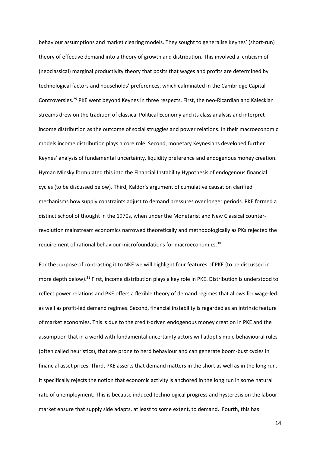behaviour assumptions and market clearing models. They sought to generalise Keynes' (short-run) theory of effective demand into a theory of growth and distribution. This involved a criticism of (neoclassical) marginal productivity theory that posits that wages and profits are determined by technological factors and households' preferences, which culminated in the Cambridge Capital Controversies.<sup>29</sup> PKE went beyond Keynes in three respects. First, the neo-Ricardian and Kaleckian streams drew on the tradition of classical Political Economy and its class analysis and interpret income distribution as the outcome of social struggles and power relations. In their macroeconomic models income distribution plays a core role. Second, monetary Keynesians developed further Keynes' analysis of fundamental uncertainty, liquidity preference and endogenous money creation. Hyman Minsky formulated this into the Financial Instability Hypothesis of endogenous financial cycles (to be discussed below). Third, Kaldor's argument of cumulative causation clarified mechanisms how supply constraints adjust to demand pressures over longer periods. PKE formed a distinct school of thought in the 1970s, when under the Monetarist and New Classical counterrevolution mainstream economics narrowed theoretically and methodologically as PKs rejected the requirement of rational behaviour microfoundations for macroeconomics.<sup>30</sup>

For the purpose of contrasting it to NKE we will highlight four features of PKE (to be discussed in more depth below). <sup>31</sup> First, income distribution plays a key role in PKE. Distribution is understood to reflect power relations and PKE offers a flexible theory of demand regimes that allows for wage-led as well as profit-led demand regimes. Second, financial instability is regarded as an intrinsic feature of market economies. This is due to the credit-driven endogenous money creation in PKE and the assumption that in a world with fundamental uncertainty actors will adopt simple behavioural rules (often called heuristics), that are prone to herd behaviour and can generate boom-bust cycles in financial asset prices. Third, PKE asserts that demand matters in the short as well as in the long run. It specifically rejects the notion that economic activity is anchored in the long run in some natural rate of unemployment. This is because induced technological progress and hysteresis on the labour market ensure that supply side adapts, at least to some extent, to demand. Fourth, this has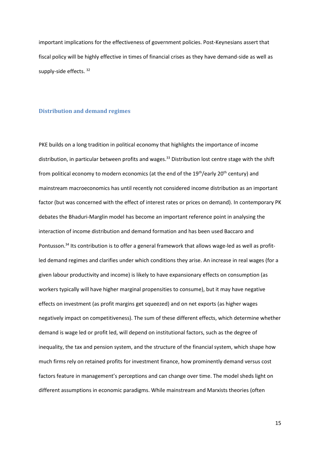important implications for the effectiveness of government policies. Post-Keynesians assert that fiscal policy will be highly effective in times of financial crises as they have demand-side as well as supply-side effects. 32

#### **Distribution and demand regimes**

PKE builds on a long tradition in political economy that highlights the importance of income distribution, in particular between profits and wages.<sup>33</sup> Distribution lost centre stage with the shift from political economy to modern economics (at the end of the 19<sup>th</sup>/early 20<sup>th</sup> century) and mainstream macroeconomics has until recently not considered income distribution as an important factor (but was concerned with the effect of interest rates or prices on demand). In contemporary PK debates the Bhaduri-Marglin model has become an important reference point in analysing the interaction of income distribution and demand formation and has been used Baccaro and Pontusson.<sup>34</sup> Its contribution is to offer a general framework that allows wage-led as well as profitled demand regimes and clarifies under which conditions they arise. An increase in real wages (for a given labour productivity and income) is likely to have expansionary effects on consumption (as workers typically will have higher marginal propensities to consume), but it may have negative effects on investment (as profit margins get squeezed) and on net exports (as higher wages negatively impact on competitiveness). The sum of these different effects, which determine whether demand is wage led or profit led, will depend on institutional factors, such as the degree of inequality, the tax and pension system, and the structure of the financial system, which shape how much firms rely on retained profits for investment finance, how prominently demand versus cost factors feature in management's perceptions and can change over time. The model sheds light on different assumptions in economic paradigms. While mainstream and Marxists theories (often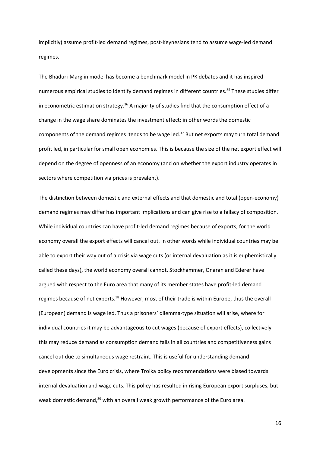implicitly) assume profit-led demand regimes, post-Keynesians tend to assume wage-led demand regimes.

The Bhaduri-Marglin model has become a benchmark model in PK debates and it has inspired numerous empirical studies to identify demand regimes in different countries.<sup>35</sup> These studies differ in econometric estimation strategy.<sup>36</sup> A majority of studies find that the consumption effect of a change in the wage share dominates the investment effect; in other words the domestic components of the demand regimes tends to be wage led.<sup>37</sup> But net exports may turn total demand profit led, in particular for small open economies. This is because the size of the net export effect will depend on the degree of openness of an economy (and on whether the export industry operates in sectors where competition via prices is prevalent).

The distinction between domestic and external effects and that domestic and total (open-economy) demand regimes may differ has important implications and can give rise to a fallacy of composition. While individual countries can have profit-led demand regimes because of exports, for the world economy overall the export effects will cancel out. In other words while individual countries may be able to export their way out of a crisis via wage cuts (or internal devaluation as it is euphemistically called these days), the world economy overall cannot. Stockhammer, Onaran and Ederer have argued with respect to the Euro area that many of its member states have profit-led demand regimes because of net exports.<sup>38</sup> However, most of their trade is within Europe, thus the overall (European) demand is wage led. Thus a prisoners' dilemma-type situation will arise, where for individual countries it may be advantageous to cut wages (because of export effects), collectively this may reduce demand as consumption demand falls in all countries and competitiveness gains cancel out due to simultaneous wage restraint. This is useful for understanding demand developments since the Euro crisis, where Troika policy recommendations were biased towards internal devaluation and wage cuts. This policy has resulted in rising European export surpluses, but weak domestic demand,<sup>39</sup> with an overall weak growth performance of the Euro area.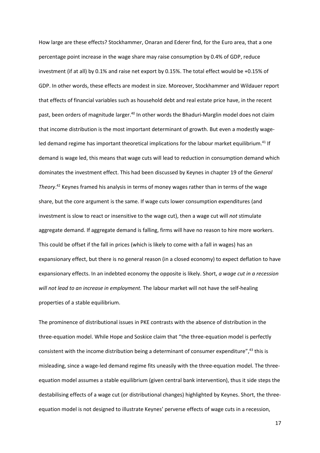How large are these effects? Stockhammer, Onaran and Ederer find, for the Euro area, that a one percentage point increase in the wage share may raise consumption by 0.4% of GDP, reduce investment (if at all) by 0.1% and raise net export by 0.15%. The total effect would be +0.15% of GDP. In other words, these effects are modest in size. Moreover, Stockhammer and Wildauer report that effects of financial variables such as household debt and real estate price have, in the recent past, been orders of magnitude larger.<sup>40</sup> In other words the Bhaduri-Marglin model does not claim that income distribution is the most important determinant of growth. But even a modestly wageled demand regime has important theoretical implications for the labour market equilibrium.<sup>41</sup> If demand is wage led, this means that wage cuts will lead to reduction in consumption demand which dominates the investment effect. This had been discussed by Keynes in chapter 19 of the *General Theory*. <sup>42</sup> Keynes framed his analysis in terms of money wages rather than in terms of the wage share, but the core argument is the same. If wage cuts lower consumption expenditures (and investment is slow to react or insensitive to the wage cut), then a wage cut will *not* stimulate aggregate demand. If aggregate demand is falling, firms will have no reason to hire more workers. This could be offset if the fall in prices (which is likely to come with a fall in wages) has an expansionary effect, but there is no general reason (in a closed economy) to expect deflation to have expansionary effects. In an indebted economy the opposite is likely. Short, *a wage cut in a recession will not lead to an increase in employment.* The labour market will not have the self-healing properties of a stable equilibrium.

The prominence of distributional issues in PKE contrasts with the absence of distribution in the three-equation model. While Hope and Soskice claim that "the three-equation model is perfectly consistent with the income distribution being a determinant of consumer expenditure",<sup>43</sup> this is misleading, since a wage-led demand regime fits uneasily with the three-equation model. The threeequation model assumes a stable equilibrium (given central bank intervention), thus it side steps the destabilising effects of a wage cut (or distributional changes) highlighted by Keynes. Short, the threeequation model is not designed to illustrate Keynes' perverse effects of wage cuts in a recession,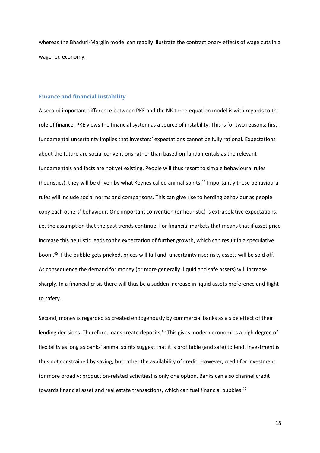whereas the Bhaduri-Marglin model can readily illustrate the contractionary effects of wage cuts in a wage-led economy.

#### **Finance and financial instability**

A second important difference between PKE and the NK three-equation model is with regards to the role of finance. PKE views the financial system as a source of instability. This is for two reasons: first, fundamental uncertainty implies that investors' expectations cannot be fully rational. Expectations about the future are social conventions rather than based on fundamentals as the relevant fundamentals and facts are not yet existing. People will thus resort to simple behavioural rules (heuristics), they will be driven by what Keynes called animal spirits.<sup>44</sup> Importantly these behavioural rules will include social norms and comparisons. This can give rise to herding behaviour as people copy each others' behaviour. One important convention (or heuristic) is extrapolative expectations, i.e. the assumption that the past trends continue. For financial markets that means that if asset price increase this heuristic leads to the expectation of further growth, which can result in a speculative boom. <sup>45</sup> If the bubble gets pricked, prices will fall and uncertainty rise; risky assets will be sold off. As consequence the demand for money (or more generally: liquid and safe assets) will increase sharply. In a financial crisis there will thus be a sudden increase in liquid assets preference and flight to safety.

Second, money is regarded as created endogenously by commercial banks as a side effect of their lending decisions. Therefore, loans create deposits.<sup>46</sup> This gives modern economies a high degree of flexibility as long as banks' animal spirits suggest that it is profitable (and safe) to lend. Investment is thus not constrained by saving, but rather the availability of credit. However, credit for investment (or more broadly: production-related activities) is only one option. Banks can also channel credit towards financial asset and real estate transactions, which can fuel financial bubbles.<sup>47</sup>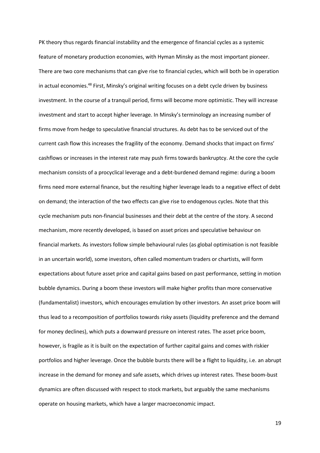PK theory thus regards financial instability and the emergence of financial cycles as a systemic feature of monetary production economies, with Hyman Minsky as the most important pioneer. There are two core mechanisms that can give rise to financial cycles, which will both be in operation in actual economies.<sup>48</sup> First, Minsky's original writing focuses on a debt cycle driven by business investment. In the course of a tranquil period, firms will become more optimistic. They will increase investment and start to accept higher leverage. In Minsky's terminology an increasing number of firms move from hedge to speculative financial structures. As debt has to be serviced out of the current cash flow this increases the fragility of the economy. Demand shocks that impact on firms' cashflows or increases in the interest rate may push firms towards bankruptcy. At the core the cycle mechanism consists of a procyclical leverage and a debt-burdened demand regime: during a boom firms need more external finance, but the resulting higher leverage leads to a negative effect of debt on demand; the interaction of the two effects can give rise to endogenous cycles. Note that this cycle mechanism puts non-financial businesses and their debt at the centre of the story. A second mechanism, more recently developed, is based on asset prices and speculative behaviour on financial markets. As investors follow simple behavioural rules (as global optimisation is not feasible in an uncertain world), some investors, often called momentum traders or chartists, will form expectations about future asset price and capital gains based on past performance, setting in motion bubble dynamics. During a boom these investors will make higher profits than more conservative (fundamentalist) investors, which encourages emulation by other investors. An asset price boom will thus lead to a recomposition of portfolios towards risky assets (liquidity preference and the demand for money declines), which puts a downward pressure on interest rates. The asset price boom, however, is fragile as it is built on the expectation of further capital gains and comes with riskier portfolios and higher leverage. Once the bubble bursts there will be a flight to liquidity, i.e. an abrupt increase in the demand for money and safe assets, which drives up interest rates. These boom-bust dynamics are often discussed with respect to stock markets, but arguably the same mechanisms operate on housing markets, which have a larger macroeconomic impact.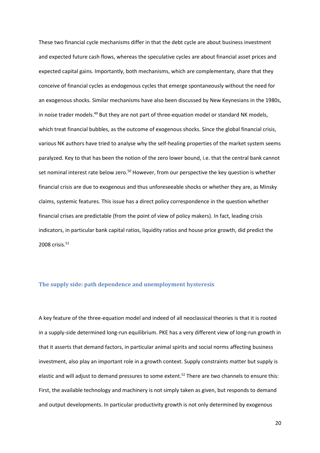These two financial cycle mechanisms differ in that the debt cycle are about business investment and expected future cash flows, whereas the speculative cycles are about financial asset prices and expected capital gains. Importantly, both mechanisms, which are complementary, share that they conceive of financial cycles as endogenous cycles that emerge spontaneously without the need for an exogenous shocks. Similar mechanisms have also been discussed by New Keynesians in the 1980s, in noise trader models.<sup>49</sup> But they are not part of three-equation model or standard NK models, which treat financial bubbles, as the outcome of exogenous shocks. Since the global financial crisis, various NK authors have tried to analyse why the self-healing properties of the market system seems paralyzed. Key to that has been the notion of the zero lower bound, i.e. that the central bank cannot set nominal interest rate below zero.<sup>50</sup> However, from our perspective the key question is whether financial crisis are due to exogenous and thus unforeseeable shocks or whether they are, as Minsky claims, systemic features. This issue has a direct policy correspondence in the question whether financial crises are predictable (from the point of view of policy makers). In fact, leading crisis indicators, in particular bank capital ratios, liquidity ratios and house price growth, did predict the 2008 crisis.<sup>51</sup>

#### **The supply side: path dependence and unemployment hysteresis**

A key feature of the three-equation model and indeed of all neoclassical theories is that it is rooted in a supply-side determined long-run equilibrium. PKE has a very different view of long-run growth in that it asserts that demand factors, in particular animal spirits and social norms affecting business investment, also play an important role in a growth context. Supply constraints matter but supply is elastic and will adjust to demand pressures to some extent. <sup>52</sup> There are two channels to ensure this: First, the available technology and machinery is not simply taken as given, but responds to demand and output developments. In particular productivity growth is not only determined by exogenous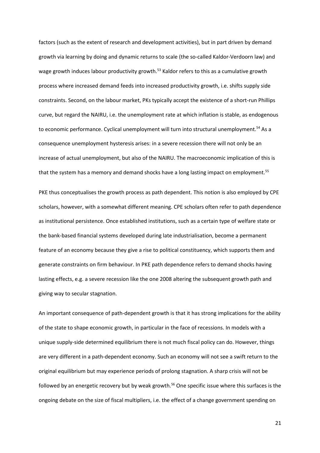factors (such as the extent of research and development activities), but in part driven by demand growth via learning by doing and dynamic returns to scale (the so-called Kaldor-Verdoorn law) and wage growth induces labour productivity growth.<sup>53</sup> Kaldor refers to this as a cumulative growth process where increased demand feeds into increased productivity growth, i.e. shifts supply side constraints. Second, on the labour market, PKs typically accept the existence of a short-run Phillips curve, but regard the NAIRU, i.e. the unemployment rate at which inflation is stable, as endogenous to economic performance. Cyclical unemployment will turn into structural unemployment.<sup>54</sup> As a consequence unemployment hysteresis arises: in a severe recession there will not only be an increase of actual unemployment, but also of the NAIRU. The macroeconomic implication of this is that the system has a memory and demand shocks have a long lasting impact on employment.<sup>55</sup>

PKE thus conceptualises the growth process as path dependent. This notion is also employed by CPE scholars, however, with a somewhat different meaning. CPE scholars often refer to path dependence as institutional persistence. Once established institutions, such as a certain type of welfare state or the bank-based financial systems developed during late industrialisation, become a permanent feature of an economy because they give a rise to political constituency, which supports them and generate constraints on firm behaviour. In PKE path dependence refers to demand shocks having lasting effects, e.g. a severe recession like the one 2008 altering the subsequent growth path and giving way to secular stagnation.

An important consequence of path-dependent growth is that it has strong implications for the ability of the state to shape economic growth, in particular in the face of recessions. In models with a unique supply-side determined equilibrium there is not much fiscal policy can do. However, things are very different in a path-dependent economy. Such an economy will not see a swift return to the original equilibrium but may experience periods of prolong stagnation. A sharp crisis will not be followed by an energetic recovery but by weak growth.<sup>56</sup> One specific issue where this surfaces is the ongoing debate on the size of fiscal multipliers, i.e. the effect of a change government spending on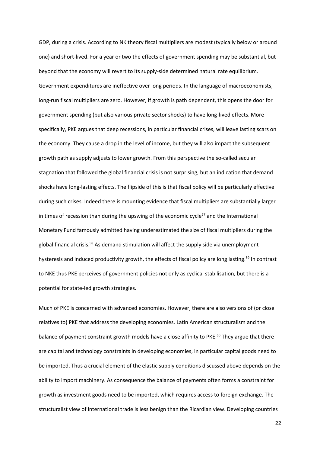GDP, during a crisis. According to NK theory fiscal multipliers are modest (typically below or around one) and short-lived. For a year or two the effects of government spending may be substantial, but beyond that the economy will revert to its supply-side determined natural rate equilibrium. Government expenditures are ineffective over long periods. In the language of macroeconomists, long-run fiscal multipliers are zero. However, if growth is path dependent, this opens the door for government spending (but also various private sector shocks) to have long-lived effects. More specifically, PKE argues that deep recessions, in particular financial crises, will leave lasting scars on the economy. They cause a drop in the level of income, but they will also impact the subsequent growth path as supply adjusts to lower growth. From this perspective the so-called secular stagnation that followed the global financial crisis is not surprising, but an indication that demand shocks have long-lasting effects. The flipside of this is that fiscal policy will be particularly effective during such crises. Indeed there is mounting evidence that fiscal multipliers are substantially larger in times of recession than during the upswing of the economic cycle<sup>57</sup> and the International Monetary Fund famously admitted having underestimated the size of fiscal multipliers during the global financial crisis.<sup>58</sup> As demand stimulation will affect the supply side via unemployment hysteresis and induced productivity growth, the effects of fiscal policy are long lasting.<sup>59</sup> In contrast to NKE thus PKE perceives of government policies not only as cyclical stabilisation, but there is a potential for state-led growth strategies.

Much of PKE is concerned with advanced economies. However, there are also versions of (or close relatives to) PKE that address the developing economies. Latin American structuralism and the balance of payment constraint growth models have a close affinity to PKE.<sup>60</sup> They argue that there are capital and technology constraints in developing economies, in particular capital goods need to be imported. Thus a crucial element of the elastic supply conditions discussed above depends on the ability to import machinery. As consequence the balance of payments often forms a constraint for growth as investment goods need to be imported, which requires access to foreign exchange. The structuralist view of international trade is less benign than the Ricardian view. Developing countries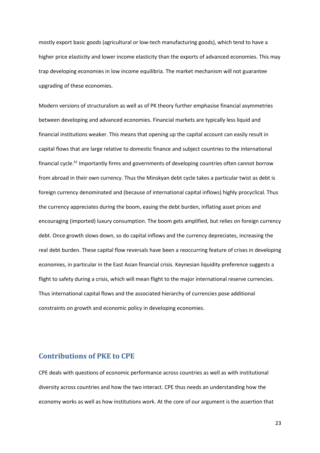mostly export basic goods (agricultural or low-tech manufacturing goods), which tend to have a higher price elasticity and lower income elasticity than the exports of advanced economies. This may trap developing economies in low income equilibria. The market mechanism will not guarantee upgrading of these economies.

Modern versions of structuralism as well as of PK theory further emphasise financial asymmetries between developing and advanced economies. Financial markets are typically less liquid and financial institutions weaker. This means that opening up the capital account can easily result in capital flows that are large relative to domestic finance and subject countries to the international financial cycle.<sup>61</sup> Importantly firms and governments of developing countries often cannot borrow from abroad in their own currency. Thus the Minskyan debt cycle takes a particular twist as debt is foreign currency denominated and (because of international capital inflows) highly procyclical. Thus the currency appreciates during the boom, easing the debt burden, inflating asset prices and encouraging (imported) luxury consumption. The boom gets amplified, but relies on foreign currency debt. Once growth slows down, so do capital inflows and the currency depreciates, increasing the real debt burden. These capital flow reversals have been a reoccurring feature of crises in developing economies, in particular in the East Asian financial crisis. Keynesian liquidity preference suggests a flight to safety during a crisis, which will mean flight to the major international reserve currencies. Thus international capital flows and the associated hierarchy of currencies pose additional constraints on growth and economic policy in developing economies.

# **Contributions of PKE to CPE**

CPE deals with questions of economic performance across countries as well as with institutional diversity across countries and how the two interact. CPE thus needs an understanding how the economy works as well as how institutions work. At the core of our argument is the assertion that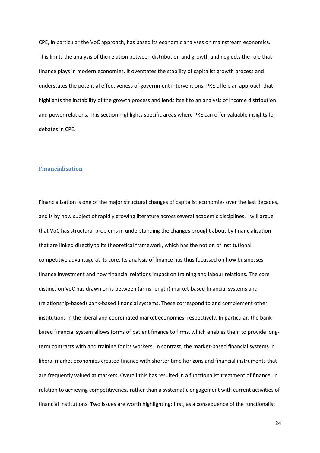CPE, in particular the VoC approach, has based its economic analyses on mainstream economics. This limits the analysis of the relation between distribution and growth and neglects the role that finance plays in modern economies. It overstates the stability of capitalist growth process and understates the potential effectiveness of government interventions. PKE offers an approach that highlights the instability of the growth process and lends itself to an analysis of income distribution and power relations. This section highlights specific areas where PKE can offer valuable insights for debates in CPE.

#### **Financialisation**

Financialisation is one of the major structural changes of capitalist economies over the last decades, and is by now subject of rapidly growing literature across several academic disciplines. I will argue that VoC has structural problems in understanding the changes brought about by financialisation that are linked directly to its theoretical framework, which has the notion of institutional competitive advantage at its core. Its analysis of finance has thus focussed on how businesses finance investment and how financial relations impact on training and labour relations. The core distinction VoC has drawn on is between (arms-length) market-based financial systems and (relationship-based) bank-based financial systems. These correspond to and complement other institutions in the liberal and coordinated market economies, respectively. In particular, the bankbased financial system allows forms of patient finance to firms, which enables them to provide longterm contracts with and training for its workers. In contrast, the market-based financial systems in liberal market economies created finance with shorter time horizons and financial instruments that are frequently valued at markets. Overall this has resulted in a functionalist treatment of finance, in relation to achieving competitiveness rather than a systematic engagement with current activities of financial institutions. Two issues are worth highlighting: first, as a consequence of the functionalist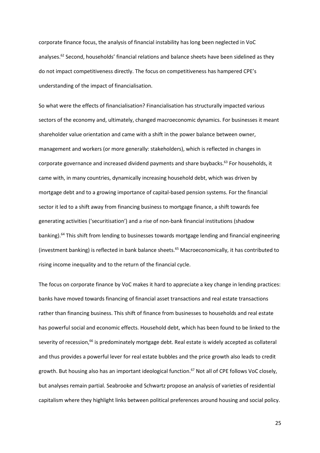corporate finance focus, the analysis of financial instability has long been neglected in VoC analyses.<sup>62</sup> Second, households' financial relations and balance sheets have been sidelined as they do not impact competitiveness directly. The focus on competitiveness has hampered CPE's understanding of the impact of financialisation.

So what were the effects of financialisation? Financialisation has structurally impacted various sectors of the economy and, ultimately, changed macroeconomic dynamics. For businesses it meant shareholder value orientation and came with a shift in the power balance between owner, management and workers (or more generally: stakeholders), which is reflected in changes in corporate governance and increased dividend payments and share buybacks.<sup>63</sup> For households, it came with, in many countries, dynamically increasing household debt, which was driven by mortgage debt and to a growing importance of capital-based pension systems. For the financial sector it led to a shift away from financing business to mortgage finance, a shift towards fee generating activities ('securitisation') and a rise of non-bank financial institutions (shadow banking).<sup>64</sup> This shift from lending to businesses towards mortgage lending and financial engineering (investment banking) is reflected in bank balance sheets.<sup>65</sup> Macroeconomically, it has contributed to rising income inequality and to the return of the financial cycle.

The focus on corporate finance by VoC makes it hard to appreciate a key change in lending practices: banks have moved towards financing of financial asset transactions and real estate transactions rather than financing business. This shift of finance from businesses to households and real estate has powerful social and economic effects. Household debt, which has been found to be linked to the severity of recession,<sup>66</sup> is predominately mortgage debt. Real estate is widely accepted as collateral and thus provides a powerful lever for real estate bubbles and the price growth also leads to credit growth. But housing also has an important ideological function.<sup>67</sup> Not all of CPE follows VoC closely, but analyses remain partial. Seabrooke and Schwartz propose an analysis of varieties of residential capitalism where they highlight links between political preferences around housing and social policy.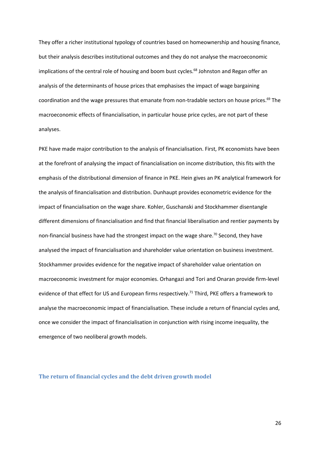They offer a richer institutional typology of countries based on homeownership and housing finance, but their analysis describes institutional outcomes and they do not analyse the macroeconomic implications of the central role of housing and boom bust cycles.<sup>68</sup> Johnston and Regan offer an analysis of the determinants of house prices that emphasises the impact of wage bargaining coordination and the wage pressures that emanate from non-tradable sectors on house prices.<sup>69</sup> The macroeconomic effects of financialisation, in particular house price cycles, are not part of these analyses.

PKE have made major contribution to the analysis of financialisation. First, PK economists have been at the forefront of analysing the impact of financialisation on income distribution, this fits with the emphasis of the distributional dimension of finance in PKE. Hein gives an PK analytical framework for the analysis of financialisation and distribution. Dunhaupt provides econometric evidence for the impact of financialisation on the wage share. Kohler, Guschanski and Stockhammer disentangle different dimensions of financialisation and find that financial liberalisation and rentier payments by non-financial business have had the strongest impact on the wage share.<sup>70</sup> Second, they have analysed the impact of financialisation and shareholder value orientation on business investment. Stockhammer provides evidence for the negative impact of shareholder value orientation on macroeconomic investment for major economies. Orhangazi and Tori and Onaran provide firm-level evidence of that effect for US and European firms respectively.<sup>71</sup> Third, PKE offers a framework to analyse the macroeconomic impact of financialisation. These include a return of financial cycles and, once we consider the impact of financialisation in conjunction with rising income inequality, the emergence of two neoliberal growth models.

#### **The return of financial cycles and the debt driven growth model**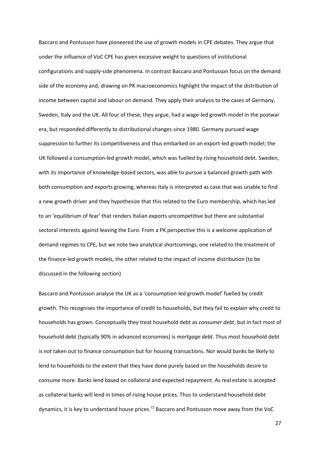Baccaro and Pontusson have pioneered the use of growth models in CPE debates. They argue that under the influence of VoC CPE has given excessive weight to questions of institutional configurations and supply-side phenomena. In contrast Baccaro and Pontusson focus on the demand side of the economy and, drawing on PK macroeconomics highlight the impact of the distribution of income between capital and labour on demand. They apply their analysis to the cases of Germany, Sweden, Italy and the UK. All four of these, they argue, had a wage-led growth model in the postwar era, but responded differently to distributional changes since 1980. Germany pursued wage suppression to further its competitiveness and thus embarked on an export-led growth model; the UK followed a consumption-led growth model, which was fuelled by rising household debt. Sweden, with its importance of knowledge-based sectors, was able to pursue a balanced growth path with both consumption and exports growing, whereas Italy is interpreted as case that was unable to find a new growth driver and they hypothesize that this related to the Euro membership, which has led to an 'equilibrium of fear' that renders Italian exports uncompetitive but there are substantial sectoral interests against leaving the Euro. From a PK perspective this is a welcome application of demand regimes to CPE, but we note two analytical shortcomings, one related to the treatment of the finance-led growth models, the other related to the impact of income distribution (to be discussed in the following section)

Baccaro and Pontusson analyse the UK as a 'consumption-led growth model' fuelled by credit growth. This recognises the importance of credit to households, but they fail to explain why credit to households has grown. Conceptually they treat household debt as *consumer debt*, but in fact most of household debt (typically 90% in advanced economies) is *mortgage debt*. Thus most household debt is *not* taken out to finance consumption but for housing transactions. Nor would banks be likely to lend to households to the extent that they have done purely based on the households desire to consume more. Banks lend based on collateral and expected repayment. As real estate is accepted as collateral banks will lend in times of rising house prices. Thus to understand household debt dynamics, it is key to understand house prices.<sup>72</sup> Baccaro and Pontusson move away from the VoC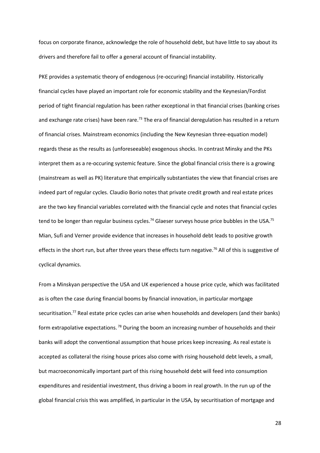focus on corporate finance, acknowledge the role of household debt, but have little to say about its drivers and therefore fail to offer a general account of financial instability.

PKE provides a systematic theory of endogenous (re-occuring) financial instability. Historically financial cycles have played an important role for economic stability and the Keynesian/Fordist period of tight financial regulation has been rather exceptional in that financial crises (banking crises and exchange rate crises) have been rare.<sup>73</sup> The era of financial deregulation has resulted in a return of financial crises. Mainstream economics (including the New Keynesian three-equation model) regards these as the results as (unforeseeable) exogenous shocks. In contrast Minsky and the PKs interpret them as a re-occuring systemic feature. Since the global financial crisis there is a growing (mainstream as well as PK) literature that empirically substantiates the view that financial crises are indeed part of regular cycles. Claudio Borio notes that private credit growth and real estate prices are the two key financial variables correlated with the financial cycle and notes that financial cycles tend to be longer than regular business cycles.<sup>74</sup> Glaeser surveys house price bubbles in the USA.<sup>75</sup> Mian, Sufi and Verner provide evidence that increases in household debt leads to positive growth effects in the short run, but after three years these effects turn negative.<sup>76</sup> All of this is suggestive of cyclical dynamics.

From a Minskyan perspective the USA and UK experienced a house price cycle, which was facilitated as is often the case during financial booms by financial innovation, in particular mortgage securitisation.<sup>77</sup> Real estate price cycles can arise when households and developers (and their banks) form extrapolative expectations. <sup>78</sup> During the boom an increasing number of households and their banks will adopt the conventional assumption that house prices keep increasing. As real estate is accepted as collateral the rising house prices also come with rising household debt levels, a small, but macroeconomically important part of this rising household debt will feed into consumption expenditures and residential investment, thus driving a boom in real growth. In the run up of the global financial crisis this was amplified, in particular in the USA, by securitisation of mortgage and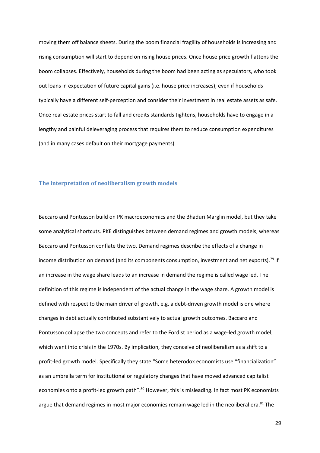moving them off balance sheets. During the boom financial fragility of households is increasing and rising consumption will start to depend on rising house prices. Once house price growth flattens the boom collapses. Effectively, households during the boom had been acting as speculators, who took out loans in expectation of future capital gains (i.e. house price increases), even if households typically have a different self-perception and consider their investment in real estate assets as safe. Once real estate prices start to fall and credits standards tightens, households have to engage in a lengthy and painful deleveraging process that requires them to reduce consumption expenditures (and in many cases default on their mortgage payments).

#### **The interpretation of neoliberalism growth models**

Baccaro and Pontusson build on PK macroeconomics and the Bhaduri Marglin model, but they take some analytical shortcuts. PKE distinguishes between demand regimes and growth models, whereas Baccaro and Pontusson conflate the two. Demand regimes describe the effects of a change in income distribution on demand (and its components consumption, investment and net exports).<sup>79</sup> If an increase in the wage share leads to an increase in demand the regime is called wage led. The definition of this regime is independent of the actual change in the wage share. A growth model is defined with respect to the main driver of growth, e.g. a debt-driven growth model is one where changes in debt actually contributed substantively to actual growth outcomes. Baccaro and Pontusson collapse the two concepts and refer to the Fordist period as a wage-led growth model, which went into crisis in the 1970s. By implication, they conceive of neoliberalism as a shift to a profit-led growth model. Specifically they state "Some heterodox economists use "financialization" as an umbrella term for institutional or regulatory changes that have moved advanced capitalist economies onto a profit-led growth path".<sup>80</sup> However, this is misleading. In fact most PK economists argue that demand regimes in most major economies remain wage led in the neoliberal era.<sup>81</sup> The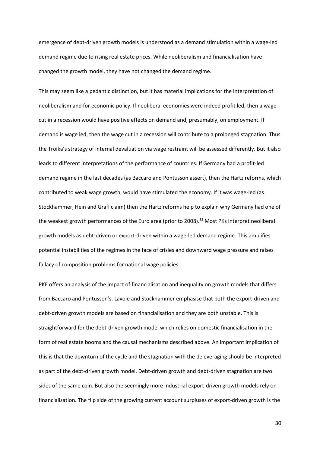emergence of debt-driven growth models is understood as a demand stimulation within a wage-led demand regime due to rising real estate prices. While neoliberalism and financialisation have changed the growth model, they have not changed the demand regime.

This may seem like a pedantic distinction, but it has material implications for the interpretation of neoliberalism and for economic policy. If neoliberal economies were indeed profit led, then a wage cut in a recession would have positive effects on demand and, presumably, on employment. If demand is wage led, then the wage cut in a recession will contribute to a prolonged stagnation. Thus the Troika's strategy of internal devaluation via wage restraint will be assessed differently. But it also leads to different interpretations of the performance of countries. If Germany had a profit-led demand regime in the last decades (as Baccaro and Pontusson assert), then the Hartz reforms, which contributed to weak wage growth, would have stimulated the economy. If it was wage-led (as Stockhammer, Hein and Grafl claim) then the Hartz reforms help to explain why Germany had one of the weakest growth performances of the Euro area (prior to 2008).<sup>82</sup> Most PKs interpret neoliberal growth models as debt-driven or export-driven within a wage-led demand regime. This amplifies potential instabilities of the regimes in the face of crisies and downward wage pressure and raises fallacy of composition problems for national wage policies.

PKE offers an analysis of the impact of financialisation and inequality on growth models that differs from Baccaro and Pontusson's. Lavoie and Stockhammer emphasise that both the export-driven and debt-driven growth models are based on financialisation and they are both unstable. This is straightforward for the debt-driven growth model which relies on domestic financialisation in the form of real estate booms and the causal mechanisms described above. An important implication of this is that the downturn of the cycle and the stagnation with the deleveraging should be interpreted as part of the debt-driven growth model. Debt-driven growth and debt-driven stagnation are two sides of the same coin. But also the seemingly more industrial export-driven growth models rely on financialisation. The flip side of the growing current account surpluses of export-driven growth is the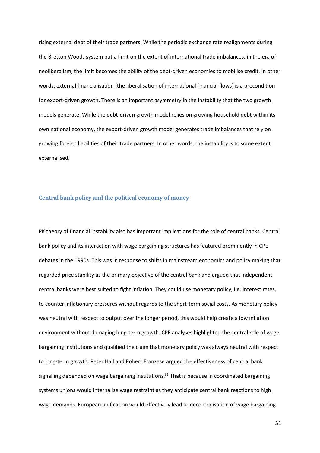rising external debt of their trade partners. While the periodic exchange rate realignments during the Bretton Woods system put a limit on the extent of international trade imbalances, in the era of neoliberalism, the limit becomes the ability of the debt-driven economies to mobilise credit. In other words, external financialisation (the liberalisation of international financial flows) is a precondition for export-driven growth. There is an important asymmetry in the instability that the two growth models generate. While the debt-driven growth model relies on growing household debt within its own national economy, the export-driven growth model generates trade imbalances that rely on growing foreign liabilities of their trade partners. In other words, the instability is to some extent externalised.

#### **Central bank policy and the political economy of money**

PK theory of financial instability also has important implications for the role of central banks. Central bank policy and its interaction with wage bargaining structures has featured prominently in CPE debates in the 1990s. This was in response to shifts in mainstream economics and policy making that regarded price stability as the primary objective of the central bank and argued that independent central banks were best suited to fight inflation. They could use monetary policy, i.e. interest rates, to counter inflationary pressures without regards to the short-term social costs. As monetary policy was neutral with respect to output over the longer period, this would help create a low inflation environment without damaging long-term growth. CPE analyses highlighted the central role of wage bargaining institutions and qualified the claim that monetary policy was always neutral with respect to long-term growth. Peter Hall and Robert Franzese argued the effectiveness of central bank signalling depended on wage bargaining institutions.<sup>83</sup> That is because in coordinated bargaining systems unions would internalise wage restraint as they anticipate central bank reactions to high wage demands. European unification would effectively lead to decentralisation of wage bargaining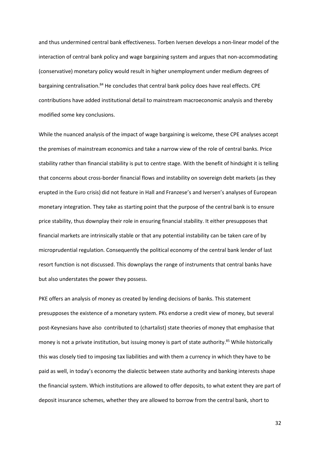and thus undermined central bank effectiveness. Torben Iversen develops a non-linear model of the interaction of central bank policy and wage bargaining system and argues that non-accommodating (conservative) monetary policy would result in higher unemployment under medium degrees of bargaining centralisation.<sup>84</sup> He concludes that central bank policy does have real effects. CPE contributions have added institutional detail to mainstream macroeconomic analysis and thereby modified some key conclusions.

While the nuanced analysis of the impact of wage bargaining is welcome, these CPE analyses accept the premises of mainstream economics and take a narrow view of the role of central banks. Price stability rather than financial stability is put to centre stage. With the benefit of hindsight it is telling that concerns about cross-border financial flows and instability on sovereign debt markets (as they erupted in the Euro crisis) did not feature in Hall and Franzese's and Iversen's analyses of European monetary integration. They take as starting point that the purpose of the central bank is to ensure price stability, thus downplay their role in ensuring financial stability. It either presupposes that financial markets are intrinsically stable or that any potential instability can be taken care of by microprudential regulation. Consequently the political economy of the central bank lender of last resort function is not discussed. This downplays the range of instruments that central banks have but also understates the power they possess.

PKE offers an analysis of money as created by lending decisions of banks. This statement presupposes the existence of a monetary system. PKs endorse a credit view of money, but several post-Keynesians have also contributed to (chartalist) state theories of money that emphasise that money is not a private institution, but issuing money is part of state authority. <sup>85</sup> While historically this was closely tied to imposing tax liabilities and with them a currency in which they have to be paid as well, in today's economy the dialectic between state authority and banking interests shape the financial system. Which institutions are allowed to offer deposits, to what extent they are part of deposit insurance schemes, whether they are allowed to borrow from the central bank, short to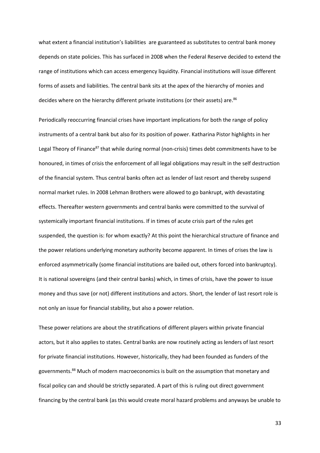what extent a financial institution's liabilities are guaranteed as substitutes to central bank money depends on state policies. This has surfaced in 2008 when the Federal Reserve decided to extend the range of institutions which can access emergency liquidity. Financial institutions will issue different forms of assets and liabilities. The central bank sits at the apex of the hierarchy of monies and decides where on the hierarchy different private institutions (or their assets) are.<sup>86</sup>

Periodically reoccurring financial crises have important implications for both the range of policy instruments of a central bank but also for its position of power. Katharina Pistor highlights in her Legal Theory of Finance<sup>87</sup> that while during normal (non-crisis) times debt commitments have to be honoured, in times of crisis the enforcement of all legal obligations may result in the self destruction of the financial system. Thus central banks often act as lender of last resort and thereby suspend normal market rules. In 2008 Lehman Brothers were allowed to go bankrupt, with devastating effects. Thereafter western governments and central banks were committed to the survival of systemically important financial institutions. If in times of acute crisis part of the rules get suspended, the question is: for whom exactly? At this point the hierarchical structure of finance and the power relations underlying monetary authority become apparent. In times of crises the law is enforced asymmetrically (some financial institutions are bailed out, others forced into bankruptcy). It is national sovereigns (and their central banks) which, in times of crisis, have the power to issue money and thus save (or not) different institutions and actors. Short, the lender of last resort role is not only an issue for financial stability, but also a power relation.

These power relations are about the stratifications of different players within private financial actors, but it also applies to states. Central banks are now routinely acting as lenders of last resort for private financial institutions. However, historically, they had been founded as funders of the governments.<sup>88</sup> Much of modern macroeconomics is built on the assumption that monetary and fiscal policy can and should be strictly separated. A part of this is ruling out direct government financing by the central bank (as this would create moral hazard problems and anyways be unable to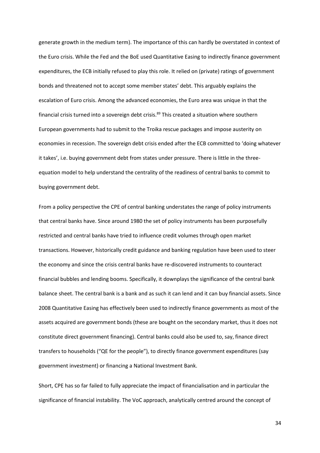generate growth in the medium term). The importance of this can hardly be overstated in context of the Euro crisis. While the Fed and the BoE used Quantitative Easing to indirectly finance government expenditures, the ECB initially refused to play this role. It relied on (private) ratings of government bonds and threatened not to accept some member states' debt. This arguably explains the escalation of Euro crisis. Among the advanced economies, the Euro area was unique in that the financial crisis turned into a sovereign debt crisis.<sup>89</sup> This created a situation where southern European governments had to submit to the Troika rescue packages and impose austerity on economies in recession. The sovereign debt crisis ended after the ECB committed to 'doing whatever it takes', i.e. buying government debt from states under pressure. There is little in the threeequation model to help understand the centrality of the readiness of central banks to commit to buying government debt.

From a policy perspective the CPE of central banking understates the range of policy instruments that central banks have. Since around 1980 the set of policy instruments has been purposefully restricted and central banks have tried to influence credit volumes through open market transactions. However, historically credit guidance and banking regulation have been used to steer the economy and since the crisis central banks have re-discovered instruments to counteract financial bubbles and lending booms. Specifically, it downplays the significance of the central bank balance sheet. The central bank is a bank and as such it can lend and it can buy financial assets. Since 2008 Quantitative Easing has effectively been used to indirectly finance governments as most of the assets acquired are government bonds (these are bought on the secondary market, thus it does not constitute direct government financing). Central banks could also be used to, say, finance direct transfers to households ("QE for the people"), to directly finance government expenditures (say government investment) or financing a National Investment Bank.

Short, CPE has so far failed to fully appreciate the impact of financialisation and in particular the significance of financial instability. The VoC approach, analytically centred around the concept of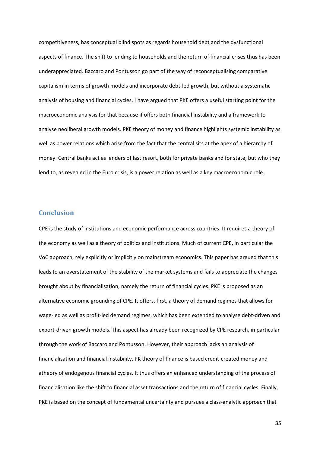competitiveness, has conceptual blind spots as regards household debt and the dysfunctional aspects of finance. The shift to lending to households and the return of financial crises thus has been underappreciated. Baccaro and Pontusson go part of the way of reconceptualising comparative capitalism in terms of growth models and incorporate debt-led growth, but without a systematic analysis of housing and financial cycles. I have argued that PKE offers a useful starting point for the macroeconomic analysis for that because if offers both financial instability and a framework to analyse neoliberal growth models. PKE theory of money and finance highlights systemic instability as well as power relations which arise from the fact that the central sits at the apex of a hierarchy of money. Central banks act as lenders of last resort, both for private banks and for state, but who they lend to, as revealed in the Euro crisis, is a power relation as well as a key macroeconomic role.

## **Conclusion**

CPE is the study of institutions and economic performance across countries. It requires a theory of the economy as well as a theory of politics and institutions. Much of current CPE, in particular the VoC approach, rely explicitly or implicitly on mainstream economics. This paper has argued that this leads to an overstatement of the stability of the market systems and fails to appreciate the changes brought about by financialisation, namely the return of financial cycles. PKE is proposed as an alternative economic grounding of CPE. It offers, first, a theory of demand regimes that allows for wage-led as well as profit-led demand regimes, which has been extended to analyse debt-driven and export-driven growth models. This aspect has already been recognized by CPE research, in particular through the work of Baccaro and Pontusson. However, their approach lacks an analysis of financialisation and financial instability. PK theory of finance is based credit-created money and atheory of endogenous financial cycles. It thus offers an enhanced understanding of the process of financialisation like the shift to financial asset transactions and the return of financial cycles. Finally, PKE is based on the concept of fundamental uncertainty and pursues a class-analytic approach that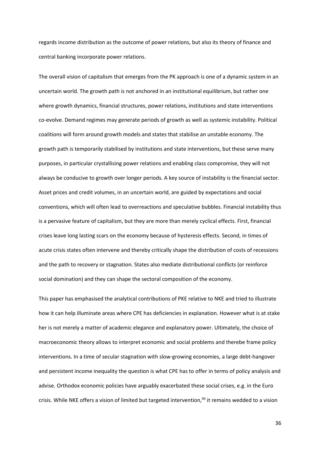regards income distribution as the outcome of power relations, but also its theory of finance and central banking incorporate power relations.

The overall vision of capitalism that emerges from the PK approach is one of a dynamic system in an uncertain world. The growth path is not anchored in an institutional equilibrium, but rather one where growth dynamics, financial structures, power relations, institutions and state interventions co-evolve. Demand regimes may generate periods of growth as well as systemic instability. Political coalitions will form around growth models and states that stabilise an unstable economy. The growth path is temporarily stabilised by institutions and state interventions, but these serve many purposes, in particular crystallising power relations and enabling class compromise, they will not always be conducive to growth over longer periods. A key source of instability is the financial sector. Asset prices and credit volumes, in an uncertain world, are guided by expectations and social conventions, which will often lead to overreactions and speculative bubbles. Financial instability thus is a pervasive feature of capitalism, but they are more than merely cyclical effects. First, financial crises leave long lasting scars on the economy because of hysteresis effects. Second, in times of acute crisis states often intervene and thereby critically shape the distribution of costs of recessions and the path to recovery or stagnation. States also mediate distributional conflicts (or reinforce social domination) and they can shape the sectoral composition of the economy.

This paper has emphasised the analytical contributions of PKE relative to NKE and tried to illustrate how it can help illuminate areas where CPE has deficiencies in explanation. However what is at stake her is not merely a matter of academic elegance and explanatory power. Ultimately, the choice of macroeconomic theory allows to interpret economic and social problems and therebe frame policy interventions. In a time of secular stagnation with slow-growing economies, a large debt-hangover and persistent income inequality the question is what CPE has to offer in terms of policy analysis and advise. Orthodox economic policies have arguably exacerbated these social crises, e.g. in the Euro crisis. While NKE offers a vision of limited but targeted intervention,<sup>90</sup> it remains wedded to a vision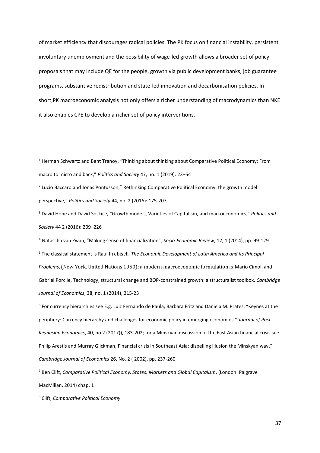of market efficiency that discourages radical policies. The PK focus on financial instability, persistent involuntary unemployment and the possibility of wage-led growth allows a broader set of policy proposals that may include QE for the people, growth via public development banks, job guarantee programs, substantive redistribution and state-led innovation and decarbonisation policies. In short,PK macroeconomic analysis not only offers a richer understanding of macrodynamics than NKE it also enables CPE to develop a richer set of policy interventions.

<sup>4</sup> Natascha van Zwan, "Making sense of financialization", *Socio-Economic Review*, 12, 1 (2014), pp. 99-129 <sup>5</sup> The classical statement is Raul Prebisch, *The Economic Development of Latin America and its Principal Problems*, (New York, United Nations 1950); a modern macroeconomic formulation is Mario Cimoli and Gabriel Porcile, [Technology, structural change and BOP-constrained growth: a structuralist toolbox.](https://ideas.repec.org/a/oup/cambje/v38y2014i1p215-237..html) *[Cambridge](https://ideas.repec.org/s/oup/cambje.html)  [Journal of Economics](https://ideas.repec.org/s/oup/cambje.html)*, 38, no. 1 (2014), 215-23

6 For currency hierarchies see E.g. Luiz Fernando de Paula, Barbara Fritz and Daniela M. Prates, "Keynes at the periphery: Currency hierarchy and challenges for economic policy in emerging economies," *Journal of Post Keynesian Economics*, 40, no.2 (2017)), 183-202; for a Minskyan discussion of the East Asian financial crisis see Philip Arestis and Murray Glickman, Financial crisis in Southeast Asia: dispelling illusion the Minskyan way," *Cambridge Journal of Economics* 26, No. 2 ( 2002), pp. 237-260

<sup>7</sup> Ben Clift, *Comparative Political Economy. States, Markets and Global Capitalism*. (London: Palgrave MacMillan, 2014) chap. 1

<sup>8</sup> Clift, *Comparative Political Economy*

<sup>1</sup> Herman Schwartz and Bent Tranoy, "Thinking about thinking about Comparative Political Economy: From macro to micro and back," *Politics and Society* 47, no. 1 (2019): 23–54

<sup>&</sup>lt;sup>2</sup> Lucio Baccaro and Jonas Pontusson," Rethinking Comparative Political Economy: the growth model perspective," *Politics and Society* 44, no. 2 (2016): 175-207

<sup>3</sup> David Hope and David Soskice, "Growth models, Varieties of Capitalism, and macroeconomics," *Politics and Society* 44 2 (2016): 209–226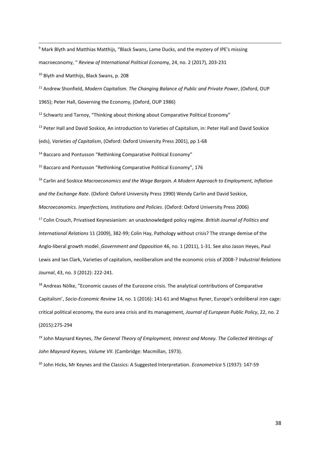<sup>9</sup> Mark Blyth and Matthias Matthijs, "Black Swans, Lame Ducks, and the mystery of IPE's missing macroeconomy, " *Review of International Political Eco*nomy, 24, no. 2 (2017), 203-231

<sup>10</sup> Blyth and Matthijs, Black Swans, p. 208

<sup>11</sup> Andrew Shonfield, *Modern Capitalism. The Changing Balance of Public and Private Power*, (Oxford, OUP

1965); Peter Hall, Governing the Economy, (Oxford, OUP 1986)

<sup>12</sup> Schwartz and Tarnoy, "Thinking about thinking about Comparative Political Economy"

<sup>13</sup> Peter Hall and David Soskice, An introduction to Varieties of Capitalism, in: Peter Hall and David Soskice

(eds), *Varieties of Capitalism*, (Oxford: Oxford University Press 2001), pp 1-68

<sup>14</sup> Baccaro and Pontusson "Rethinking Comparative Political Economy"

<sup>15</sup> Baccaro and Pontusson "Rethinking Comparative Political Economy", 176

<sup>16</sup> Carlin and Soskice *Macroeconomics and the Wage Bargain. A Modern Approach to Employment, Inflation and the Exchange Rate*. (Oxford: Oxford University Press 1990) Wendy Carlin and David Soskice, *Macroeconomics. Imperfections, Institutions and Policies*. (Oxford: Oxford University Press 2006)

<sup>17</sup> Colin Crouch, Privatised Keynesianism: an unacknowledged policy regime. *British Journal of Politics and International Relations* 11 (2009), 382-99; Colin Hay, Pathology without crisis? The strange demise of the Anglo-liberal growth model. *Government and Opposition* 46, no. 1 (2011), 1-31. See also Jason Heyes, Paul Lewis and Ian Clark, Varieties of capitalism, neoliberalism and the economic crisis of 2008-? *Industrial Relations Journal*, 43, no. 3 (2012): 222-241.

<sup>18</sup> Andreas Nölke, "Economic causes of the Eurozone crisis. The analytical contributions of Comparative Capitalism', *Socio-Economic Review* 14, no. 1 (2016): 141-61 and Magnus Ryner, Europe's ordoliberal iron cage: critical political economy, the euro area crisis and its management, *Journal of European Public Policy*, 22, no. 2 (2015):275-294

<sup>19</sup> John Maynard Keynes, *The General Theory of Employment, Interest and Money. The Collected Writings of John Maynard Keynes, Volume VII*. (Cambridge: Macmillan, 1973).

<sup>20</sup> John Hicks, Mr Keynes and the Classics: A Suggested Interpretation. *Econometrica* 5 (1937): 147-59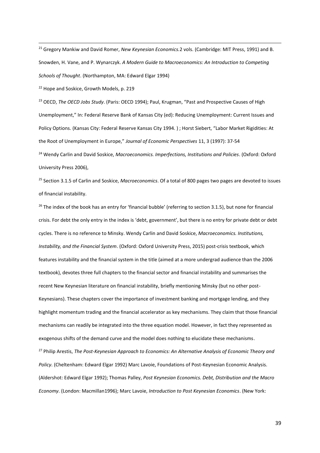<sup>21</sup> Gregory Mankiw and David Romer, *New Keynesian Economics.*2 vols. (Cambridge: MIT Press, 1991) and B. Snowden, H. Vane, and P. Wynarczyk. *A Modern Guide to Macroeconomics: An Introduction to Competing Schools of Thought*. (Northampton, MA: Edward Elgar 1994)

<sup>22</sup> Hope and Soskice, Growth Models, p. 219

<sup>23</sup> OECD, *The OECD Jobs Study*. (Paris: OECD 1994); Paul, Krugman, "Past and Prospective Causes of High Unemployment," In: Federal Reserve Bank of Kansas City (ed): Reducing Unemployment: Current Issues and Policy Options. (Kansas City: Federal Reserve Kansas City 1994. ) ; Horst Siebert, "Labor Market Rigidities: At the Root of Unemployment in Europe," *Journal of Economic Perspectives* 11, 3 (1997): 37-54

<sup>24</sup> Wendy Carlin and David Soskice, *Macroeconomics. Imperfections, Institutions and Policies*. (Oxford: Oxford University Press 2006),

<sup>25</sup> Section 3.1.5 of Carlin and Soskice, *Macroeconomics*. Of a total of 800 pages two pages are devoted to issues of financial instability.

 $26$  The index of the book has an entry for 'financial bubble' (referring to section 3.1.5), but none for financial crisis. For debt the only entry in the index is 'debt, government', but there is no entry for private debt or debt cycles. There is no reference to Minsky. Wendy Carlin and David Soskice, *Macroeconomics. Institutions, Instability, and the Financial System*. (Oxford: Oxford University Press, 2015) post-crisis textbook, which features instability and the financial system in the title (aimed at a more undergrad audience than the 2006 textbook), devotes three full chapters to the financial sector and financial instability and summarises the recent New Keynesian literature on financial instability, briefly mentioning Minsky (but no other post-Keynesians). These chapters cover the importance of investment banking and mortgage lending, and they highlight momentum trading and the financial accelerator as key mechanisms. They claim that those financial mechanisms can readily be integrated into the three equation model. However, in fact they represented as exogenous shifts of the demand curve and the model does nothing to elucidate these mechanisms. <sup>27</sup> Philip Arestis, *The Post-Keynesian Approach to Economics: An Alternative Analysis of Economic Theory and Policy*. (Cheltenham: Edward Elgar 1992) Marc Lavoie, Foundations of Post-Keynesian Economic Analysis. (Aldershot: Edward Elgar 1992); Thomas Palley, *Post Keynesian Economics. Debt, Distribution and the Macro Economy*. (London: Macmillan1996); Marc Lavoie, *Introduction to Post Keynesian Economics*. (New York: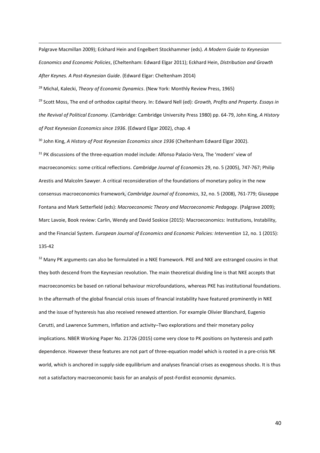Palgrave Macmillan 2009); Eckhard Hein and Engelbert Stockhammer (eds). *A Modern Guide to Keynesian Economics and Economic Policies*, (Cheltenham: Edward Elgar 2011); Eckhard Hein, *Distribution and Growth After Keynes. A Post-Keynesian Guide*. (Edward Elgar: Cheltenham 2014)

<sup>28</sup> Michal, Kalecki, *Theory of Economic Dynamics*. (New York: Monthly Review Press, 1965)

<sup>29</sup> Scott Moss, The end of orthodox capital theory. In: Edward Nell (ed): *Growth, Profits and Property. Essays in the Revival of Political Economy*. (Cambridge: Cambridge University Press 1980) pp. 64-79, John King, *A History of Post Keynesian Economics since 1936*. (Edward Elgar 2002), chap. 4

<sup>30</sup> John King, *A History of Post Keynesian Economics since 1936* (Cheltenham Edward Elgar 2002).

<sup>31</sup> PK discussions of the three-equation model include: Alfonso Palacio-Vera, The 'modern' view of macroeconomics: some critical reflections. *Cambridge Journal of Economic*s 29, no. 5 (2005), 747-767; Philip Arestis and Malcolm Sawyer. A critical reconsideration of the foundations of monetary policy in the new consensus macroeconomics framework*, Cambridge Journal of Economics*, 32, no. 5 (2008), 761-779; Giuseppe Fontana and Mark Setterfield (eds): *Macroeconomic Theory and Macroeconomic Pedagogy*. (Palgrave 2009); Marc Lavoie, Book review: Carlin, Wendy and David Soskice (2015): Macroeconomics: Institutions, Instability, and the Financial System. *European Journal of Economics and Economic Policies: Intervention* 12, no. 1 (2015): 135-42

<sup>32</sup> Many PK arguments can also be formulated in a NKE framework. PKE and NKE are estranged cousins in that they both descend from the Keynesian revolution. The main theoretical dividing line is that NKE accepts that macroeconomics be based on rational behaviour microfoundations, whereas PKE has institutional foundations. In the aftermath of the global financial crisis issues of financial instability have featured prominently in NKE and the issue of hysteresis has also received renewed attention. For example Olivier Blanchard, Eugenio Cerutti, and Lawrence Summers, Inflation and activity–Two explorations and their monetary policy implications. NBER Working Paper No. 21726 (2015) come very close to PK positions on hysteresis and path dependence. However these features are not part of three-equation model which is rooted in a pre-crisis NK world, which is anchored in supply-side equilibrium and analyses financial crises as exogenous shocks. It is thus not a satisfactory macroeconomic basis for an analysis of post-Fordist economic dynamics.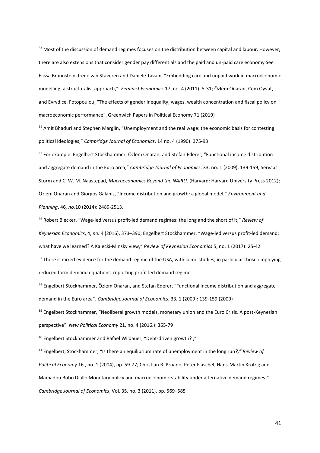<sup>33</sup> Most of the discussion of demand regimes focuses on the distribution between capital and labour. However, there are also extensions that consider gender pay differentials and the paid and un-paid care economy See Elissa Braunstein, Irene van Staveren and Daniele Tavani, "Embedding care and unpaid work in macroeconomic modelling: a structuralist approach,". *Feminist Economics* 17, no. 4 (2011): 5-31; Özlem Onaran, Cem Oyvat, and Evrydice. Fotopoulou, "The effects of gender inequality, wages, wealth concentration and fiscal policy on macroeconomic performance", Greenwich Papers in Political Economy 71 (2019)

<sup>34</sup> Amit Bhaduri and Stephen Marglin, "Unemployment and the real wage: the economic basis for contesting political ideologies," *Cambridge Journal of Economics*, 14 no. 4 (1990): 375-93

<sup>35</sup> For example: Engelbert Stockhammer, Özlem Onaran, and Stefan Ederer, "Functional income distribution and aggregate demand in the Euro area," *Cambridge Journal of Economics*, 33, no. 1 (2009): 139-159; Servaas Storm and C. W. M. Naastepad, *Macroeconomics Beyond the NAIRU*. (Harvard: Harvard University Press 2012); Özlem Onaran and Giorgos Galanis, "Income distribution and growth: a global model," *Environment and Planning*, 46*, no.*10 (2014): 2489-2513.

<sup>36</sup> Robert Blecker, "Wage-led versus profit-led demand regimes: the long and the short of it," *Review of Keynesian Economics*, 4, *no.* 4 (2016), 373–390; Engelbert Stockhammer, "Wage-led versus profit-led demand: what have we learned? A Kalecki-Minsky view," *Review of Keynesian Economics* 5, no. 1 (2017): 25-42

<sup>37</sup> There is mixed evidence for the demand regime of the USA, with some studies, in particular those employing reduced form demand equations, reporting profit led demand regime.

<sup>38</sup> Engelbert Stockhammer, Özlem Onaran, and Stefan Ederer, "Functional income distribution and aggregate demand in the Euro area". *Cambridge Journal of Economics*, 33, 1 (2009): 139-159 (2009)

<sup>39</sup> Engelbert Stockhammer, "Neoliberal growth models, monetary union and the Euro Crisis. A post-Keynesian perspective". *New Political Economy* 21, no. 4 (2016.): 365-79

<sup>40</sup> Engelbert Stockhammer and Rafael Wildauer, "[Debt-driven growth?](https://ideas.repec.org/p/ris/kngedp/2015_002.html) ,"

<sup>41</sup> Engelbert, Stockhammer, "Is there an equilibrium rate of unemployment in the long run*?," Review of Political Economy* 16 , no. 1 (2004), pp. 59-77; Christian R. Proano, Peter Flaschel, Hans-Martin Krolzig and Mamadou Bobo Diallo Monetary policy and macroeconomic stability under alternative demand regimes," *Cambridge Journal of Economics*, Vol. 35, no. 3 (2011), pp. 569–585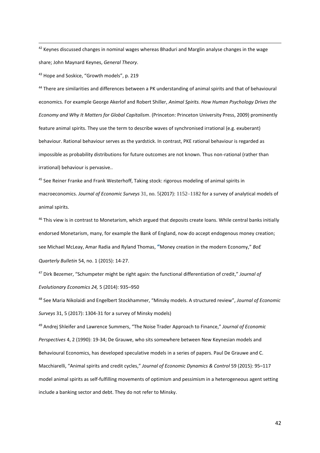<sup>42</sup> Keynes discussed changes in nominal wages whereas Bhaduri and Marglin analyse changes in the wage share; John Maynard Keynes, *General Theory*.

43 Hope and Soskice, "Growth models", p. 219

<sup>44</sup> There are similarities and differences between a PK understanding of animal spirits and that of behavioural economics. For example George Akerlof and Robert Shiller, *Animal Spirits. How Human Psychology Drives the Economy and Why It Matters for Global Capitalism*. (Princeton: Princeton University Press, 2009) prominently feature animal spirits. They use the term to describe waves of synchronised irrational (e.g. exuberant) behaviour. Rational behaviour serves as the yardstick. In contrast, PKE rational behaviour is regarded as impossible as probability distributions for future outcomes are not known. Thus non-rational (rather than irrational) behaviour is pervasive..

45 See Reiner Franke and Frank Westerhoff, Taking stock: rigorous modeling of animal spirits in macroeconomics. *Journal of Economic Surveys* 31, no. 5(2017): 1152–1182 for a survey of analytical models of animal spirits.

<sup>46</sup> This view is in contrast to Monetarism, which argued that deposits create loans. While central banks initially endorsed Monetarism, many, for example the Bank of England, now do accept endogenous money creation; see Michael McLeay, Amar Radia and Ryland Thomas, **"**Money creation in the modern Economy," *BoE Quarterly Bulletin* 54, no. 1 (2015): 14-27.

<sup>47</sup> Dirk Bezemer, "Schumpeter might be right again: the functional differentiation of credit," *Journal of Evolutionary Economics 24,* 5 (2014): 935–950

<sup>48</sup> See Maria Nikolaidi and Engelbert Stockhammer, "Minsky models. A structured review", *Journal of Economic Surveys* 31, 5 (2017): 1304-31 for a survey of Minsky models)

<sup>49</sup> Andrej Shleifer and Lawrence Summers, "The Noise Trader Approach to Finance," *Journal of Economic Perspectives* 4, 2 (1990): 19-34; De Grauwe, who sits somewhere between New Keynesian models and Behavioural Economics, has developed speculative models in a series of papers. Paul De Grauwe and C. Macchiarelli, "Animal spirits and credit cycles," *Journal of Economic Dynamics & Control* 59 (2015): 95–117 model animal spirits as self-fulfilling movements of optimism and pessimism in a heterogeneous agent setting include a banking sector and debt. They do not refer to Minsky.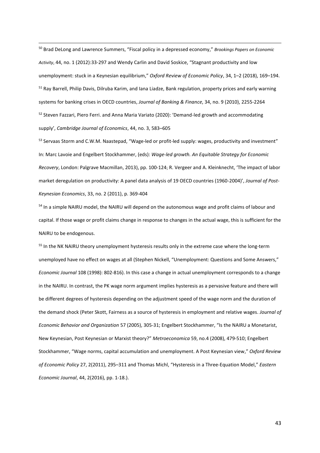<sup>50</sup> Brad DeLong and Lawrence Summers, "Fiscal policy in a depressed economy," *Brookings Papers on Economic Activity*, 44, no. 1 (2012):33-297 and Wendy Carlin and David Soskice, "Stagnant productivity and low unemployment: stuck in a Keynesian equilibrium," *Oxford Review of Economic Policy*, 34, 1–2 (2018), 169–194. <sup>51</sup> Ray Barrell, Philip Davis, Dilruba Karim, and Iana Liadze, Bank regulation, property prices and early warning [systems for banking crises in OECD countries,](http://ideas.repec.org/a/eee/jbfina/v34y2010i9p2255-2264.html) *Journal of Banking & Finance*, 34, no. 9 (2010), 2255-2264 <sup>52</sup> Steven Fazzari, Piero Ferri. and Anna Maria Variato (2020): 'Demand-led growth and accommodating supply', *Cambridge Journal of Economics*, 44, no. 3, 583–605

53 Servaas Storm and C.W.M. Naastepad, "Wage-led or profit-led supply: wages, productivity and investment" In: Marc Lavoie and Engelbert Stockhammer, (eds): *Wage-led growth. An Equitable Strategy for Economic Recovery*, London: Palgrave Macmillan, 2013), pp. 100-124; R. Vergeer and A. Kleinknecht, 'The impact of labor market deregulation on productivity: A panel data analysis of 19 OECD countries (1960-2004)', *Journal of Post-Keynesian Economics*, 33, no. 2 (2011), p. 369-404

<sup>54</sup> In a simple NAIRU model, the NAIRU will depend on the autonomous wage and profit claims of labour and capital. If those wage or profit claims change in response to changes in the actual wage, this is sufficient for the NAIRU to be endogenous.

<sup>55</sup> In the NK NAIRU theory unemployment hysteresis results only in the extreme case where the long-term unemployed have no effect on wages at all (Stephen Nickell, "Unemployment: Questions and Some Answers," *Economic Journal* 108 (1998): 802-816). In this case a change in actual unemployment corresponds to a change in the NAIRU. In contrast, the PK wage norm argument implies hysteresis as a pervasive feature and there will be different degrees of hysteresis depending on the adjustment speed of the wage norm and the duration of the demand shock (Peter Skott, Fairness as a source of hysteresis in employment and relative wages. *Journal of Economic Behavior and Organization* 57 (2005), 305-31; Engelbert Stockhammer, "Is the NAIRU a Monetarist, New Keynesian, Post Keynesian or Marxist theory?" *Metroeconomica* 59, no.4 (2008), 479-510; Engelbert Stockhammer, "Wage norms, capital accumulation and unemployment. A Post Keynesian view," *Oxford Review of Economic Policy* 27, 2(2011), 295–311 and Thomas Michl, "Hysteresis in a Three-Equation Model," *Eastern Economic Journal*, 44, 2(2016), pp. 1-18.).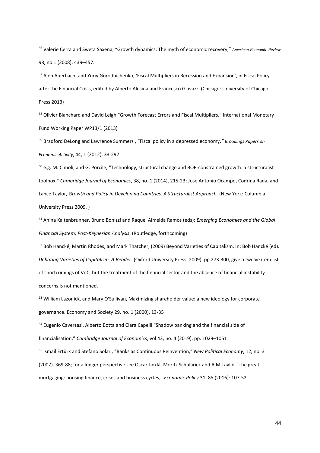<sup>56</sup> Valerie Cerra and Sweta Saxena, "Growth dynamics: The myth of economic recovery," *American Economic Review*  98, no 1 (2008), 439–457.

<sup>57</sup> Alen Auerbach, and Yuriy Gorodnichenko, 'Fiscal Multipliers in Recession and Expansion', in Fiscal Policy after the Financial Crisis, edited by Alberto Alesina and Francesco Giavazzi (Chicago: University of Chicago Press 2013)

<sup>58</sup> Olivier Blanchard and David Leigh "Growth Forecast Errors and Fiscal Multipliers," International Monetary Fund Working Paper WP13/1 (2013)

<sup>59</sup> Bradford DeLong and Lawrence Summers , "Fiscal policy in a depressed economy*," Brookings Papers on Economic Activity*, 44, 1 (2012), 33-297

 $60$  e.g. M. Cimoli, and G. Porcile, "Technology, structural change and BOP-constrained growth: a structuralist [toolbox](https://ideas.repec.org/a/oup/cambje/v38y2014i1p215-237..html)," *[Cambridge Journal of Economics](https://ideas.repec.org/s/oup/cambje.html)*, 38, no. 1 (2014), 215-23; José Antonio Ocampo, Codrina Rada, and Lance Taylor, *Growth and Policy in Developing Countries. A Structuralist Approach*. (New York: Columbia University Press 2009. )

<sup>61</sup> Anina Kaltenbrunner, Bruno Bonizzi and Raquel Almeida Ramos (eds): *Emerging Economies and the Global Financial System: Post-Keynesian Analysis*. (Routledge, forthcoming)

 $62$  Bob Hancké, Martin Rhodes, and Mark Thatcher, (2009) Beyond Varieties of Capitalism. In: Bob Hancké (ed). *Debating Varieties of Capitalism. A Reader*. (Oxford University Press, 2009), pp 273-300, give a twelve item list of shortcomings of VoC, but the treatment of the financial sector and the absence of financial instability concerns is not mentioned.

 $63$  William Lazonick, and Mary O'Sullivan, Maximizing shareholder value: a new ideology for corporate governance. Economy and Society 29, no. 1 (2000), 13-35

<sup>64</sup> [Eugenio Caverzasi,](https://academic.oup.com/cje/search-results?f_Authors=Eugenio+Caverzasi) [Alberto Botta](https://academic.oup.com/cje/search-results?f_Authors=Alberto+Botta) and [Clara Capelli](https://academic.oup.com/cje/search-results?f_Authors=Clara+Capelli) "[Shadow banking and the financial side of](https://academic.oup.com/cje/article/43/4/1029/5498000)  [financialisation](https://academic.oup.com/cje/article/43/4/1029/5498000)," *Cambridge Journal of Economics*, vol 43, no. 4 (2019), pp. 1029–1051

<sup>65</sup> Ismail Ertürk and Stefano Solari, "Banks as Continuous Reinvention," *New Political Economy*, 12, no. 3 (2007). 369-88; for a longer perspective see Oscar Jordá, Moritz Schularick and A M Taylor "The great mortgaging: housing finance, crises and business cycles," *Economic Policy* 31, 85 (2016): 107-52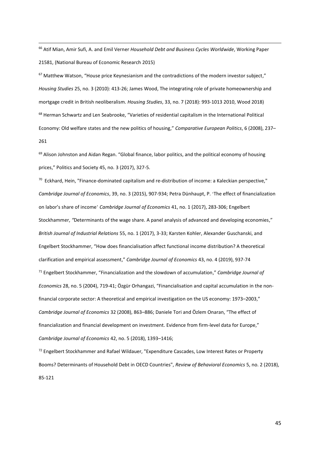<sup>66</sup> Atif Mian, Amir Sufi, A. and Emil Verner *Household Debt and Business Cycles Worldwide*, Working Paper 21581, (National Bureau of Economic Research 2015)

 $67$  Matthew Watson, "House price Keynesianism and the contradictions of the modern investor subject," *Housing Studies* 25, no. 3 (2010): 413-26; James Wood, The integrating role of private homeownership and mortgage credit in British neoliberalism. *Housing Studies*, 33, no. 7 (2018): 993-1013 2010, Wood 2018) <sup>68</sup> Herman Schwartz and Len Seabrooke, "Varieties of residential capitalism in the International Political Economy: Old welfare states and the new politics of housing," *Comparative European Politics*, 6 (2008), 237– 261

 $69$  Alison Johnston and Aidan Regan. "Global finance, labor politics, and the political economy of housing prices," Politics and Society 45, no. 3 (2017), 327-5.

 $^{70}$  Eckhard, Hein, "Finance-dominated capitalism and re-distribution of income: a Kaleckian perspective," *Cambridge Journal of Economics*, 39, no. 3 (2015), 907-934; Petra Dünhaupt, P. 'The effect of financialization on labor's share of income' *Cambridge Journal of Economics* 41, no. 1 (2017), 283-306; Engelbert Stockhammer, *"*Determinants of the wage share. A panel analysis of advanced and developing economies," *British Journal of Industrial Relations* 55, no. 1 (2017), 3-33; Karsten Kohler, Alexander Guschanski, and Engelbert Stockhammer, "How does financialisation affect functional income distribution? A theoretical clarification and empirical assessment," *Cambridge Journal of Economics* 43, no. 4 (2019), 937-74 <sup>71</sup> Engelbert Stockhammer, "Financialization and the slowdown of accumulation," *Cambridge Journal of Economics* 28, no. 5 (2004), 719-41; Özgür Orhangazi, "Financialisation and capital accumulation in the nonfinancial corporate sector: A theoretical and empirical investigation on the US economy: 1973–2003," *Cambridge Journal of Economics* 32 (2008), 863–886; Daniele Tori and Özlem Onaran, "The effect of financialization and financial development on investment. Evidence from firm-level data for Europe," *Cambridge Journal of Economics* 42, no. 5 (2018), 1393–1416;

<sup>72</sup> Engelbert Stockhammer and Rafael Wildauer, "Expenditure Cascades, Low Interest Rates or Property Booms? Determinants of Household Debt in OECD Countries", *Review of Behavioral Economics* 5, no. 2 (2018), 85-121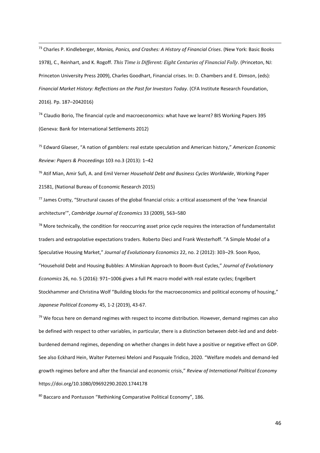<sup>73</sup> Charles P. Kindleberger, *Manias, Panics, and Crashes: A History of Financial Crises*. (New York: Basic Books 1978), C., Reinhart, and K. Rogoff. *This Time is Different: Eight Centuries of Financial Folly*. (Princeton, NJ: Princeton University Press 2009), Charles Goodhart, Financial crises. In: D. Chambers and E. Dimson, (eds): *Financial Market History: Reflections on the Past for Investors Today*. (CFA Institute Research Foundation, 2016). Pp. 187–2042016)

<sup>74</sup> Claudio Borio, The financial cycle and macroeconomics: what have we learnt? BIS Working Papers 395 (Geneva: Bank for International Settlements 2012)

<sup>75</sup> Edward Glaeser, "A nation of gamblers: real estate speculation and American history," *American Economic Review: Papers & Proceedings* 103 no.3 (2013): 1–42

<sup>76</sup> Atif Mian, Amir Sufi, A. and Emil Verner *Household Debt and Business Cycles Worldwide*, Working Paper 21581, (National Bureau of Economic Research 2015)

 $77$  James Crotty, "Structural causes of the global financial crisis: a critical assessment of the 'new financial architecture'", *Cambridge Journal of Economics* 33 (2009), 563–580

 $78$  More technically, the condition for reoccurring asset price cycle requires the interaction of fundamentalist traders and extrapolative expectations traders. Roberto Dieci and Frank Westerhoff. "A Simple Model of a Speculative Housing Market," *Journal of Evolutionary Economics* 22, no. 2 (2012): 303–29. Soon Ryoo, "Household Debt and Housing Bubbles: A Minskian Approach to Boom-Bust Cycles," *Journal of Evolutionary Economics* 26, no. 5 (2016): 971–1006 gives a full PK macro model with real estate cycles; Engelbert Stockhammer and Christina Wolf "Building blocks for the macroeconomics and political economy of housing," *Japanese Political Economy* 45, 1-2 (2019), 43-67.

 $79$  We focus here on demand regimes with respect to income distribution. However, demand regimes can also be defined with respect to other variables, in particular, there is a distinction between debt-led and and debtburdened demand regimes, depending on whether changes in debt have a positive or negative effect on GDP. See also Eckhard Hein, Walter Paternesi Meloni and Pasquale Tridico, 2020. "Welfare models and demand-led growth regimes before and after the financial and economic crisis," *[Review of International Political Economy](https://www.tandfonline.com/toc/rrip20/current)* https://doi.org/10.1080/09692290.2020.1744178

<sup>80</sup> Baccaro and Pontusson "Rethinking Comparative Political Economy", 186.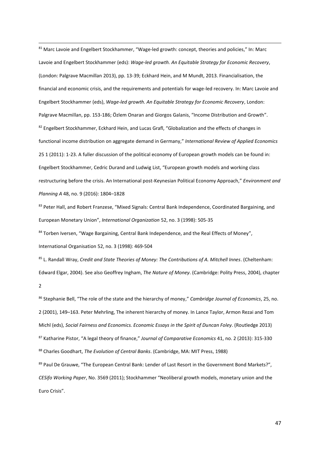81 Marc Lavoie and Engelbert Stockhammer, "Wage-led growth: concept, theories and policies," In: Marc Lavoie and Engelbert Stockhammer (eds): *Wage-led growth. An Equitable Strategy for Economic Recovery*, (London: Palgrave Macmillan 2013), pp. 13-39; Eckhard Hein, and M Mundt, 2013. Financialisation, the financial and economic crisis, and the requirements and potentials for wage-led recovery. In: Marc Lavoie and Engelbert Stockhammer (eds), *Wage-led growth. An Equitable Strategy for Economic Recovery*, London: Palgrave Macmillan, pp. 153-186; Özlem Onaran and Giorgos Galanis, "Income Distribution and Growth". 82 Engelbert Stockhammer, Eckhard Hein, and Lucas Grafl, "Globalization and the effects of changes in functional income distribution on aggregate demand in Germany," *International Review of Applied Economics*  25 1 (2011): 1-23. A fuller discussion of the political economy of European growth models can be found in: Engelbert Stockhammer, Cedric Durand and Ludwig List, "European growth models and working class restructuring before the crisis. An International post-Keynesian Political Economy Approach," *Environment and Planning A* 48, no. 9 (2016): 1804–1828

83 Peter Hall, and Robert Franzese, "Mixed Signals: Central Bank Independence, Coordinated Bargaining, and European Monetary Union", *International Organization* 52, no. 3 (1998): 505-35

84 Torben Iversen, "Wage Bargaining, Central Bank Independence, and the Real Effects of Money", International Organisation 52, no. 3 (1998): 469-504

<sup>85</sup> L. Randall Wray, *Credit and State Theories of Money: The Contributions of A. Mitchell Innes*. (Cheltenham: Edward Elgar, 2004). See also Geoffrey Ingham, *The Nature of Money*. (Cambridge: Polity Press, 2004), chapter 2

<sup>86</sup> Stephanie Bell, "The role of the state and the hierarchy of money," *Cambridge Journal of Economics*, 25, no. 2 (2001), 149–163. Peter Mehrling, The inherent hierarchy of money. In Lance Taylor, Armon Rezai and Tom Michl (eds), *Social Fairness and Economics. Economic Essays in the Spirit of Duncan Foley*. (Routledge 2013) <sup>87</sup> Katharine Pistor, "A legal theory of finance," *Journal of Comparative Economics* 41, no. 2 (2013): 315-330 <sup>88</sup> Charles Goodhart, *The Evolution of Central Banks*. (Cambridge, MA: MIT Press, 1988) <sup>89</sup> Paul De Grauwe, "The European Central Bank: Lender of Last Resort in the Government Bond Markets?", *CESifo Working Paper*, No. 3569 (2011); Stockhammer "Neoliberal growth models, monetary union and the

Euro Crisis".